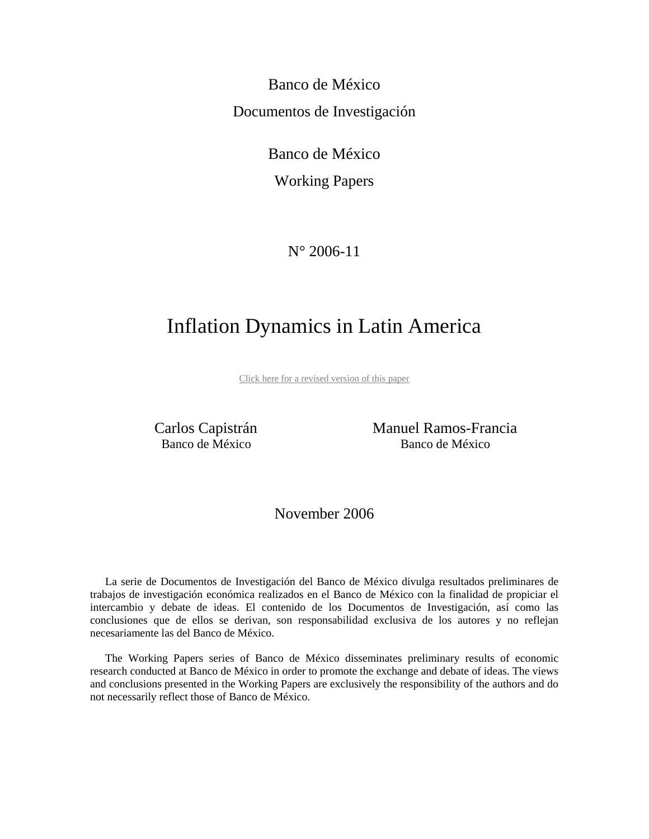Banco de México Documentos de Investigación

Banco de México

Working Papers

N° 2006-11

# Inflation Dynamics in Latin America

[Click here for a revised version of this paper](http://www.banxico.org.mx/documents/{80FE75E9-038A-91F9-E449-88CCE15D56B9}.pdf)

 Carlos Capistrán Manuel Ramos-Francia Banco de México Banco de México

November 2006

La serie de Documentos de Investigación del Banco de México divulga resultados preliminares de trabajos de investigación económica realizados en el Banco de México con la finalidad de propiciar el intercambio y debate de ideas. El contenido de los Documentos de Investigación, así como las conclusiones que de ellos se derivan, son responsabilidad exclusiva de los autores y no reflejan necesariamente las del Banco de México.

The Working Papers series of Banco de México disseminates preliminary results of economic research conducted at Banco de México in order to promote the exchange and debate of ideas. The views and conclusions presented in the Working Papers are exclusively the responsibility of the authors and do not necessarily reflect those of Banco de México.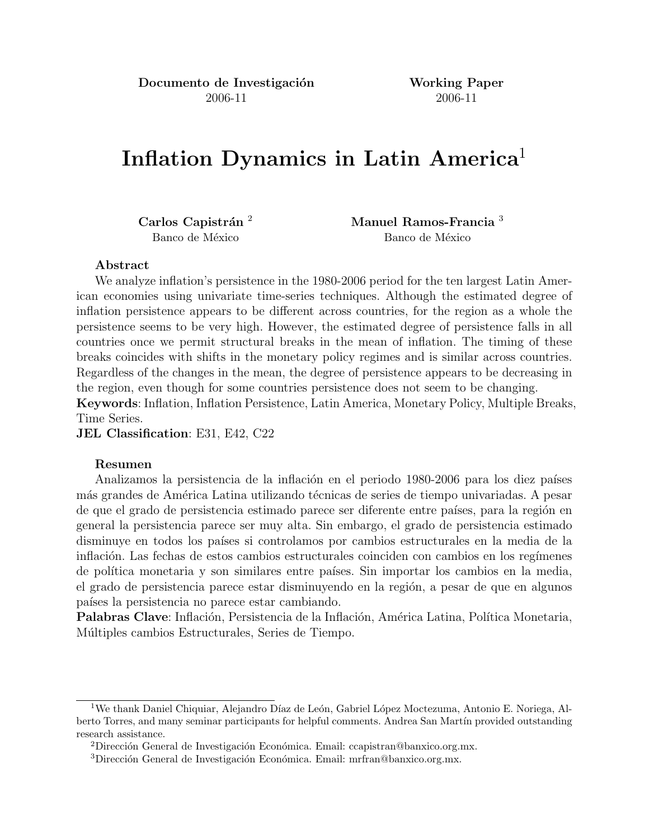Documento de Investigación Working Paper 2006-11 2006-11

# Inflation Dynamics in Latin America<sup>1</sup>

Carlos Capistrán <sup>2</sup> Manuel Ramos-Francia <sup>3</sup> Banco de México Banco de México

#### Abstract

We analyze inflation's persistence in the 1980-2006 period for the ten largest Latin American economies using univariate time-series techniques. Although the estimated degree of inflation persistence appears to be different across countries, for the region as a whole the persistence seems to be very high. However, the estimated degree of persistence falls in all countries once we permit structural breaks in the mean of inflation. The timing of these breaks coincides with shifts in the monetary policy regimes and is similar across countries. Regardless of the changes in the mean, the degree of persistence appears to be decreasing in the region, even though for some countries persistence does not seem to be changing. Keywords: Inflation, Inflation Persistence, Latin America, Monetary Policy, Multiple Breaks,

Time Series.

JEL Classification: E31, E42, C22

#### Resumen

Analizamos la persistencia de la inflación en el periodo 1980-2006 para los diez países más grandes de América Latina utilizando técnicas de series de tiempo univariadas. A pesar de que el grado de persistencia estimado parece ser diferente entre países, para la región en general la persistencia parece ser muy alta. Sin embargo, el grado de persistencia estimado disminuye en todos los países si controlamos por cambios estructurales en la media de la inflación. Las fechas de estos cambios estructurales coinciden con cambios en los regímenes de política monetaria y son similares entre países. Sin importar los cambios en la media, el grado de persistencia parece estar disminuyendo en la región, a pesar de que en algunos países la persistencia no parece estar cambiando.

Palabras Clave: Inflación, Persistencia de la Inflación, América Latina, Política Monetaria, Múltiples cambios Estructurales, Series de Tiempo.

<sup>&</sup>lt;sup>1</sup>We thank Daniel Chiquiar, Alejandro Díaz de León, Gabriel López Moctezuma, Antonio E. Noriega, Alberto Torres, and many seminar participants for helpful comments. Andrea San Martín provided outstanding research assistance.

<sup>&</sup>lt;sup>2</sup>Dirección General de Investigación Económica. Email: ccapistran@banxico.org.mx.

 $3$ Dirección General de Investigación Económica. Email: mrfran@banxico.org.mx.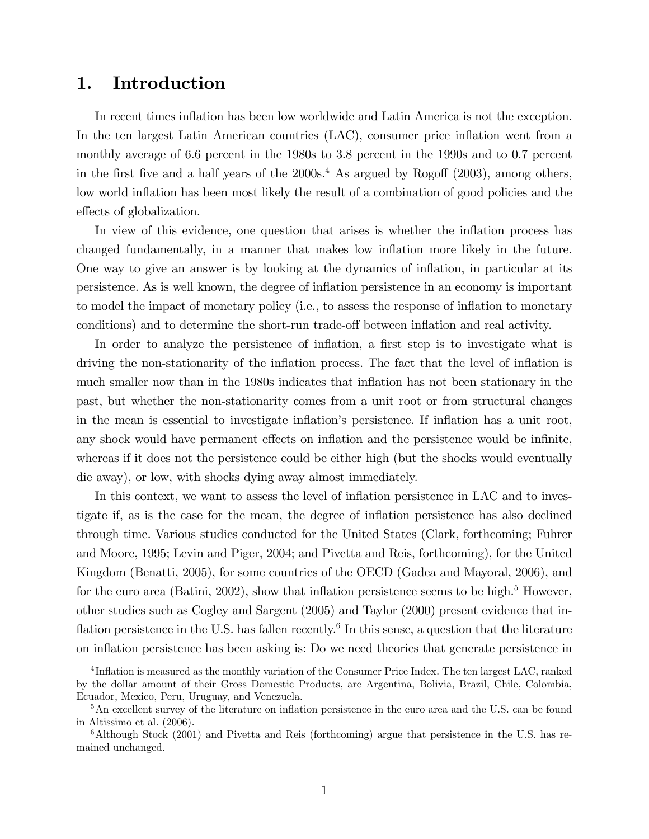## 1. Introduction

In recent times inflation has been low worldwide and Latin America is not the exception. In the ten largest Latin American countries (LAC), consumer price inflation went from a monthly average of 6.6 percent in the 1980s to 3.8 percent in the 1990s and to 0.7 percent in the first five and a half years of the  $2000s<sup>4</sup>$ . As argued by Rogoff (2003), among others, low world inflation has been most likely the result of a combination of good policies and the effects of globalization.

In view of this evidence, one question that arises is whether the inflation process has changed fundamentally, in a manner that makes low inflation more likely in the future. One way to give an answer is by looking at the dynamics of ináation, in particular at its persistence. As is well known, the degree of ináation persistence in an economy is important to model the impact of monetary policy (i.e., to assess the response of ináation to monetary conditions) and to determine the short-run trade-off between inflation and real activity.

In order to analyze the persistence of inflation, a first step is to investigate what is driving the non-stationarity of the inflation process. The fact that the level of inflation is much smaller now than in the 1980s indicates that inflation has not been stationary in the past, but whether the non-stationarity comes from a unit root or from structural changes in the mean is essential to investigate inflation's persistence. If inflation has a unit root, any shock would have permanent effects on inflation and the persistence would be infinite, whereas if it does not the persistence could be either high (but the shocks would eventually die away), or low, with shocks dying away almost immediately.

In this context, we want to assess the level of inflation persistence in LAC and to investigate if, as is the case for the mean, the degree of inflation persistence has also declined through time. Various studies conducted for the United States (Clark, forthcoming; Fuhrer and Moore, 1995; Levin and Piger, 2004; and Pivetta and Reis, forthcoming), for the United Kingdom (Benatti, 2005), for some countries of the OECD (Gadea and Mayoral, 2006), and for the euro area (Batini, 2002), show that inflation persistence seems to be high.<sup>5</sup> However, other studies such as Cogley and Sargent (2005) and Taylor (2000) present evidence that inflation persistence in the U.S. has fallen recently.<sup>6</sup> In this sense, a question that the literature on ináation persistence has been asking is: Do we need theories that generate persistence in

<sup>&</sup>lt;sup>4</sup>Inflation is measured as the monthly variation of the Consumer Price Index. The ten largest LAC, ranked by the dollar amount of their Gross Domestic Products, are Argentina, Bolivia, Brazil, Chile, Colombia, Ecuador, Mexico, Peru, Uruguay, and Venezuela.

 $5$ An excellent survey of the literature on inflation persistence in the euro area and the U.S. can be found in Altissimo et al. (2006).

<sup>&</sup>lt;sup>6</sup>Although Stock (2001) and Pivetta and Reis (forthcoming) argue that persistence in the U.S. has remained unchanged.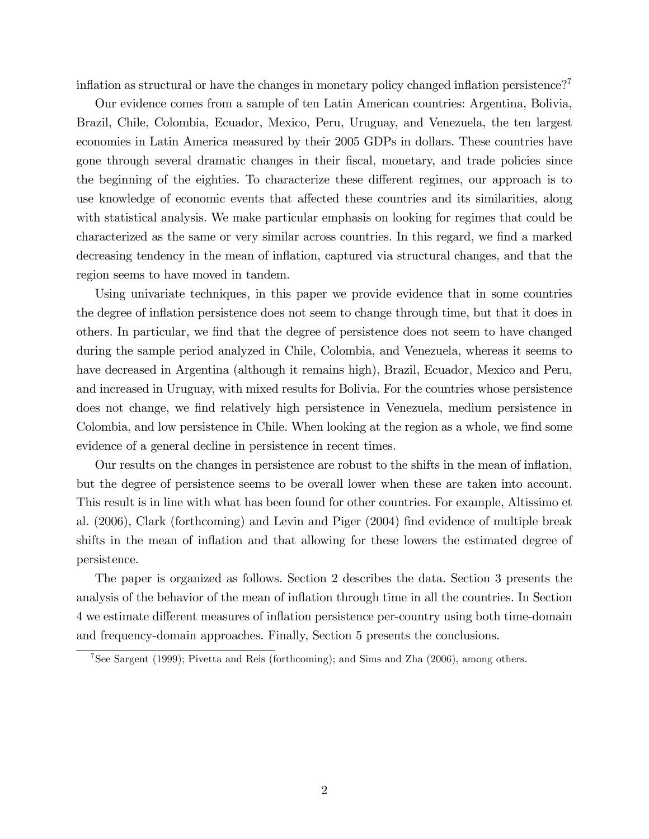inflation as structural or have the changes in monetary policy changed inflation persistence?<sup>7</sup>

Our evidence comes from a sample of ten Latin American countries: Argentina, Bolivia, Brazil, Chile, Colombia, Ecuador, Mexico, Peru, Uruguay, and Venezuela, the ten largest economies in Latin America measured by their 2005 GDPs in dollars. These countries have gone through several dramatic changes in their Öscal, monetary, and trade policies since the beginning of the eighties. To characterize these different regimes, our approach is to use knowledge of economic events that affected these countries and its similarities, along with statistical analysis. We make particular emphasis on looking for regimes that could be characterized as the same or very similar across countries. In this regard, we find a marked decreasing tendency in the mean of ináation, captured via structural changes, and that the region seems to have moved in tandem.

Using univariate techniques, in this paper we provide evidence that in some countries the degree of ináation persistence does not seem to change through time, but that it does in others. In particular, we Önd that the degree of persistence does not seem to have changed during the sample period analyzed in Chile, Colombia, and Venezuela, whereas it seems to have decreased in Argentina (although it remains high), Brazil, Ecuador, Mexico and Peru, and increased in Uruguay, with mixed results for Bolivia. For the countries whose persistence does not change, we find relatively high persistence in Venezuela, medium persistence in Colombia, and low persistence in Chile. When looking at the region as a whole, we find some evidence of a general decline in persistence in recent times.

Our results on the changes in persistence are robust to the shifts in the mean of ináation, but the degree of persistence seems to be overall lower when these are taken into account. This result is in line with what has been found for other countries. For example, Altissimo et al. (2006), Clark (forthcoming) and Levin and Piger (2004) find evidence of multiple break shifts in the mean of inflation and that allowing for these lowers the estimated degree of persistence.

The paper is organized as follows. Section 2 describes the data. Section 3 presents the analysis of the behavior of the mean of inflation through time in all the countries. In Section 4 we estimate different measures of inflation persistence per-country using both time-domain and frequency-domain approaches. Finally, Section 5 presents the conclusions.

<sup>7</sup>See Sargent (1999); Pivetta and Reis (forthcoming); and Sims and Zha (2006), among others.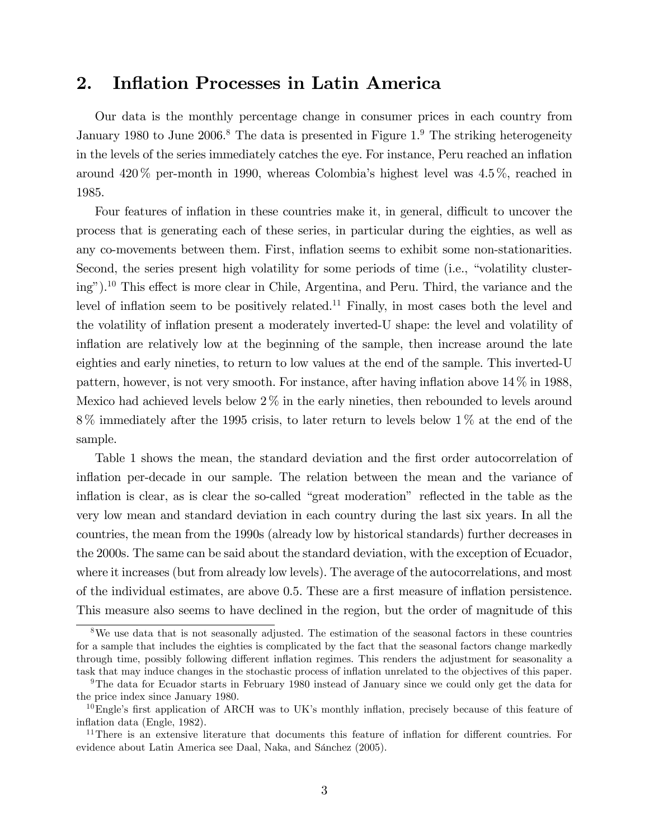### 2. Inflation Processes in Latin America

Our data is the monthly percentage change in consumer prices in each country from January 1980 to June 2006.<sup>8</sup> The data is presented in Figure 1.<sup>9</sup> The striking heterogeneity in the levels of the series immediately catches the eye. For instance, Peru reached an inflation around  $420\%$  per-month in 1990, whereas Colombia's highest level was  $4.5\%$ , reached in 1985.

Four features of inflation in these countries make it, in general, difficult to uncover the process that is generating each of these series, in particular during the eighties, as well as any co-movements between them. First, ináation seems to exhibit some non-stationarities. Second, the series present high volatility for some periods of time (i.e., "volatility cluster $ing<sup>n</sup>$ ).<sup>10</sup> This effect is more clear in Chile, Argentina, and Peru. Third, the variance and the level of inflation seem to be positively related.<sup>11</sup> Finally, in most cases both the level and the volatility of inflation present a moderately inverted-U shape: the level and volatility of inflation are relatively low at the beginning of the sample, then increase around the late eighties and early nineties, to return to low values at the end of the sample. This inverted-U pattern, however, is not very smooth. For instance, after having inflation above  $14\%$  in 1988, Mexico had achieved levels below  $2\%$  in the early nineties, then rebounded to levels around 8 % immediately after the 1995 crisis, to later return to levels below 1 % at the end of the sample.

Table 1 shows the mean, the standard deviation and the first order autocorrelation of inflation per-decade in our sample. The relation between the mean and the variance of inflation is clear, as is clear the so-called "great moderation" reflected in the table as the very low mean and standard deviation in each country during the last six years. In all the countries, the mean from the 1990s (already low by historical standards) further decreases in the 2000s. The same can be said about the standard deviation, with the exception of Ecuador, where it increases (but from already low levels). The average of the autocorrelations, and most of the individual estimates, are above 0.5. These are a first measure of inflation persistence. This measure also seems to have declined in the region, but the order of magnitude of this

<sup>&</sup>lt;sup>8</sup>We use data that is not seasonally adjusted. The estimation of the seasonal factors in these countries for a sample that includes the eighties is complicated by the fact that the seasonal factors change markedly through time, possibly following different inflation regimes. This renders the adjustment for seasonality a task that may induce changes in the stochastic process of ináation unrelated to the objectives of this paper.

<sup>&</sup>lt;sup>9</sup>The data for Ecuador starts in February 1980 instead of January since we could only get the data for the price index since January 1980.

 $10$ Engle's first application of ARCH was to UK's monthly inflation, precisely because of this feature of inflation data (Engle, 1982).

 $11$ There is an extensive literature that documents this feature of inflation for different countries. For evidence about Latin America see Daal, Naka, and Sánchez (2005).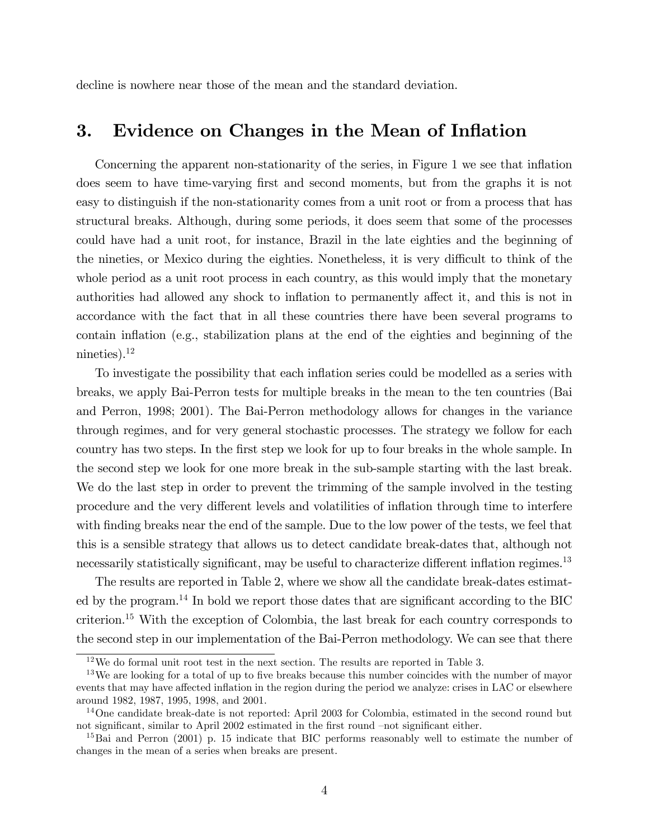decline is nowhere near those of the mean and the standard deviation.

### 3. Evidence on Changes in the Mean of Inflation

Concerning the apparent non-stationarity of the series, in Figure 1 we see that inflation does seem to have time-varying first and second moments, but from the graphs it is not easy to distinguish if the non-stationarity comes from a unit root or from a process that has structural breaks. Although, during some periods, it does seem that some of the processes could have had a unit root, for instance, Brazil in the late eighties and the beginning of the nineties, or Mexico during the eighties. Nonetheless, it is very difficult to think of the whole period as a unit root process in each country, as this would imply that the monetary authorities had allowed any shock to inflation to permanently affect it, and this is not in accordance with the fact that in all these countries there have been several programs to contain inflation (e.g., stabilization plans at the end of the eighties and beginning of the nineties). $^{12}$ 

To investigate the possibility that each inflation series could be modelled as a series with breaks, we apply Bai-Perron tests for multiple breaks in the mean to the ten countries (Bai and Perron, 1998; 2001). The Bai-Perron methodology allows for changes in the variance through regimes, and for very general stochastic processes. The strategy we follow for each country has two steps. In the first step we look for up to four breaks in the whole sample. In the second step we look for one more break in the sub-sample starting with the last break. We do the last step in order to prevent the trimming of the sample involved in the testing procedure and the very different levels and volatilities of inflation through time to interfere with finding breaks near the end of the sample. Due to the low power of the tests, we feel that this is a sensible strategy that allows us to detect candidate break-dates that, although not necessarily statistically significant, may be useful to characterize different inflation regimes.<sup>13</sup>

The results are reported in Table 2, where we show all the candidate break-dates estimated by the program.<sup>14</sup> In bold we report those dates that are significant according to the BIC criterion.<sup>15</sup> With the exception of Colombia, the last break for each country corresponds to the second step in our implementation of the Bai-Perron methodology. We can see that there

<sup>12</sup>We do formal unit root test in the next section. The results are reported in Table 3.

<sup>&</sup>lt;sup>13</sup>We are looking for a total of up to five breaks because this number coincides with the number of mayor events that may have affected inflation in the region during the period we analyze: crises in LAC or elsewhere around 1982, 1987, 1995, 1998, and 2001.

<sup>&</sup>lt;sup>14</sup>One candidate break-date is not reported: April 2003 for Colombia, estimated in the second round but not significant, similar to April 2002 estimated in the first round  $-$ not significant either.

<sup>&</sup>lt;sup>15</sup>Bai and Perron (2001) p. 15 indicate that BIC performs reasonably well to estimate the number of changes in the mean of a series when breaks are present.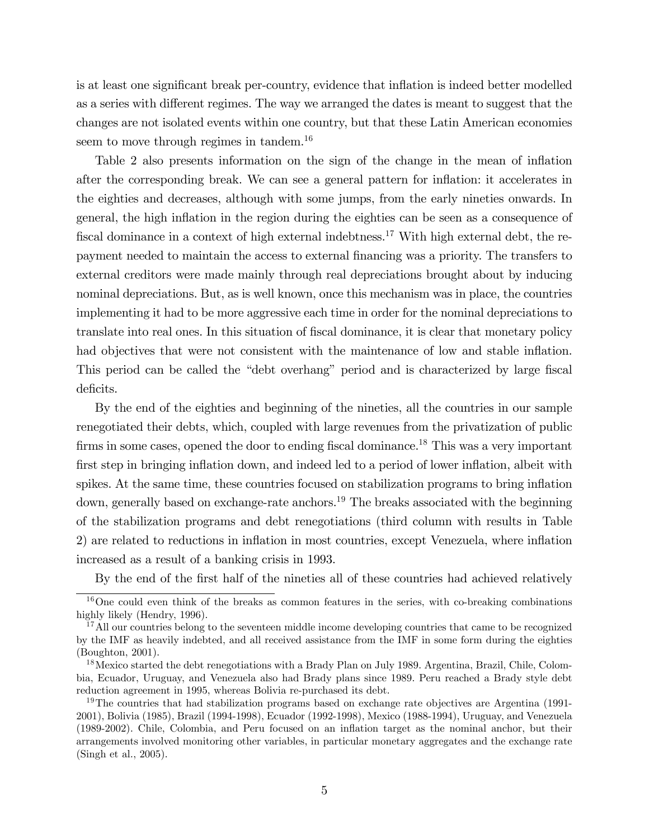is at least one significant break per-country, evidence that inflation is indeed better modelled as a series with different regimes. The way we arranged the dates is meant to suggest that the changes are not isolated events within one country, but that these Latin American economies seem to move through regimes in tandem.<sup>16</sup>

Table 2 also presents information on the sign of the change in the mean of inflation after the corresponding break. We can see a general pattern for ináation: it accelerates in the eighties and decreases, although with some jumps, from the early nineties onwards. In general, the high ináation in the region during the eighties can be seen as a consequence of fiscal dominance in a context of high external indebtness.<sup>17</sup> With high external debt, the repayment needed to maintain the access to external Önancing was a priority. The transfers to external creditors were made mainly through real depreciations brought about by inducing nominal depreciations. But, as is well known, once this mechanism was in place, the countries implementing it had to be more aggressive each time in order for the nominal depreciations to translate into real ones. In this situation of fiscal dominance, it is clear that monetary policy had objectives that were not consistent with the maintenance of low and stable inflation. This period can be called the "debt overhang" period and is characterized by large fiscal deficits.

By the end of the eighties and beginning of the nineties, all the countries in our sample renegotiated their debts, which, coupled with large revenues from the privatization of public firms in some cases, opened the door to ending fiscal dominance.<sup>18</sup> This was a very important first step in bringing inflation down, and indeed led to a period of lower inflation, albeit with spikes. At the same time, these countries focused on stabilization programs to bring inflation down, generally based on exchange-rate anchors.<sup>19</sup> The breaks associated with the beginning of the stabilization programs and debt renegotiations (third column with results in Table 2) are related to reductions in inflation in most countries, except Venezuela, where inflation increased as a result of a banking crisis in 1993.

By the end of the first half of the nineties all of these countries had achieved relatively

 $16$ One could even think of the breaks as common features in the series, with co-breaking combinations highly likely (Hendry, 1996).

<sup>&</sup>lt;sup>17</sup>All our countries belong to the seventeen middle income developing countries that came to be recognized by the IMF as heavily indebted, and all received assistance from the IMF in some form during the eighties (Boughton, 2001).

<sup>&</sup>lt;sup>18</sup>Mexico started the debt renegotiations with a Brady Plan on July 1989. Argentina, Brazil, Chile, Colombia, Ecuador, Uruguay, and Venezuela also had Brady plans since 1989. Peru reached a Brady style debt reduction agreement in 1995, whereas Bolivia re-purchased its debt.

<sup>&</sup>lt;sup>19</sup>The countries that had stabilization programs based on exchange rate objectives are Argentina (1991-2001), Bolivia (1985), Brazil (1994-1998), Ecuador (1992-1998), Mexico (1988-1994), Uruguay, and Venezuela (1989-2002). Chile, Colombia, and Peru focused on an ináation target as the nominal anchor, but their arrangements involved monitoring other variables, in particular monetary aggregates and the exchange rate (Singh et al., 2005).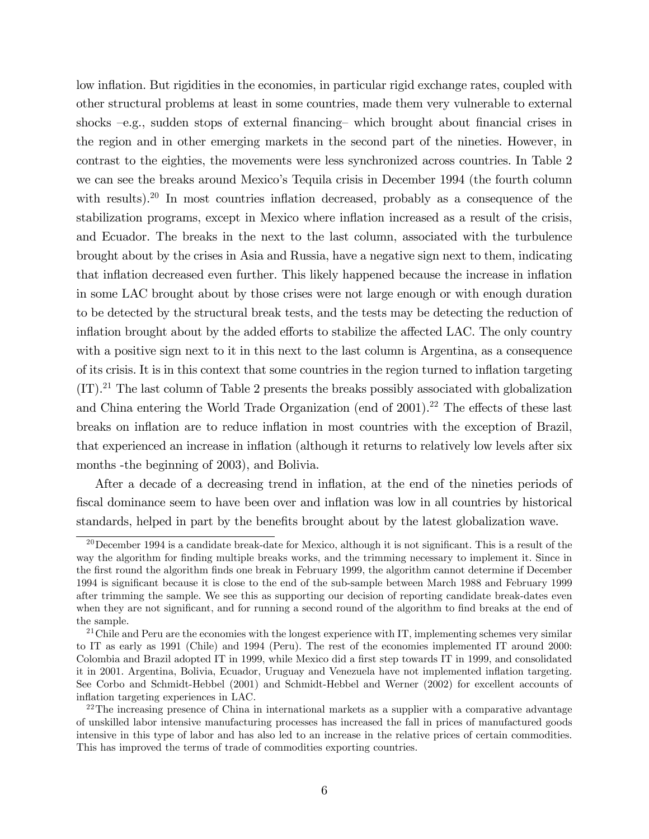low inflation. But rigidities in the economies, in particular rigid exchange rates, coupled with other structural problems at least in some countries, made them very vulnerable to external shocks  $-e.g.,$  sudden stops of external financing which brought about financial crises in the region and in other emerging markets in the second part of the nineties. However, in contrast to the eighties, the movements were less synchronized across countries. In Table 2 we can see the breaks around Mexico's Tequila crisis in December 1994 (the fourth column with results).<sup>20</sup> In most countries inflation decreased, probably as a consequence of the stabilization programs, except in Mexico where inflation increased as a result of the crisis, and Ecuador. The breaks in the next to the last column, associated with the turbulence brought about by the crises in Asia and Russia, have a negative sign next to them, indicating that inflation decreased even further. This likely happened because the increase in inflation in some LAC brought about by those crises were not large enough or with enough duration to be detected by the structural break tests, and the tests may be detecting the reduction of inflation brought about by the added efforts to stabilize the affected LAC. The only country with a positive sign next to it in this next to the last column is Argentina, as a consequence of its crisis. It is in this context that some countries in the region turned to inflation targeting  $(IT).<sup>21</sup>$  The last column of Table 2 presents the breaks possibly associated with globalization and China entering the World Trade Organization (end of  $2001$ ).<sup>22</sup> The effects of these last breaks on inflation are to reduce inflation in most countries with the exception of Brazil, that experienced an increase in inflation (although it returns to relatively low levels after six months -the beginning of 2003), and Bolivia.

After a decade of a decreasing trend in inflation, at the end of the nineties periods of Öscal dominance seem to have been over and ináation was low in all countries by historical standards, helped in part by the benefits brought about by the latest globalization wave.

<sup>&</sup>lt;sup>20</sup>December 1994 is a candidate break-date for Mexico, although it is not significant. This is a result of the way the algorithm for finding multiple breaks works, and the trimming necessary to implement it. Since in the Örst round the algorithm Önds one break in February 1999, the algorithm cannot determine if December 1994 is significant because it is close to the end of the sub-sample between March 1988 and February 1999 after trimming the sample. We see this as supporting our decision of reporting candidate break-dates even when they are not significant, and for running a second round of the algorithm to find breaks at the end of the sample.

 $21$ Chile and Peru are the economies with the longest experience with IT, implementing schemes very similar to IT as early as 1991 (Chile) and 1994 (Peru). The rest of the economies implemented IT around 2000: Colombia and Brazil adopted IT in 1999, while Mexico did a first step towards IT in 1999, and consolidated it in 2001. Argentina, Bolivia, Ecuador, Uruguay and Venezuela have not implemented ináation targeting. See Corbo and Schmidt-Hebbel (2001) and Schmidt-Hebbel and Werner (2002) for excellent accounts of inflation targeting experiences in LAC.

 $22$ The increasing presence of China in international markets as a supplier with a comparative advantage of unskilled labor intensive manufacturing processes has increased the fall in prices of manufactured goods intensive in this type of labor and has also led to an increase in the relative prices of certain commodities. This has improved the terms of trade of commodities exporting countries.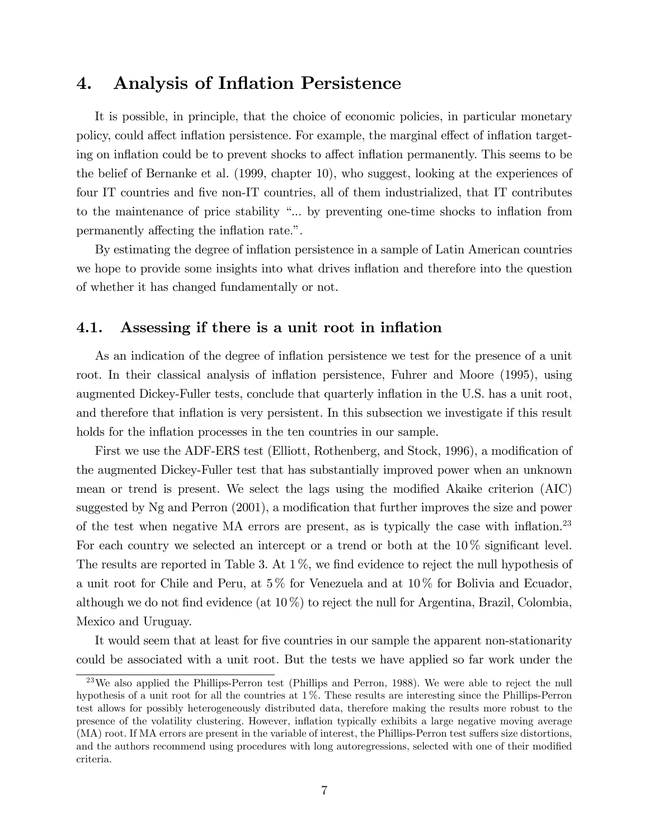## 4. Analysis of Inflation Persistence

It is possible, in principle, that the choice of economic policies, in particular monetary policy, could affect inflation persistence. For example, the marginal effect of inflation targeting on inflation could be to prevent shocks to affect inflation permanently. This seems to be the belief of Bernanke et al. (1999, chapter 10), who suggest, looking at the experiences of four IT countries and five non-IT countries, all of them industrialized, that IT contributes to the maintenance of price stability "... by preventing one-time shocks to inflation from permanently affecting the inflation rate.".

By estimating the degree of inflation persistence in a sample of Latin American countries we hope to provide some insights into what drives inflation and therefore into the question of whether it has changed fundamentally or not.

### 4.1. Assessing if there is a unit root in inflation

As an indication of the degree of inflation persistence we test for the presence of a unit root. In their classical analysis of inflation persistence, Fuhrer and Moore (1995), using augmented Dickey-Fuller tests, conclude that quarterly inflation in the U.S. has a unit root, and therefore that inflation is very persistent. In this subsection we investigate if this result holds for the inflation processes in the ten countries in our sample.

First we use the ADF-ERS test (Elliott, Rothenberg, and Stock, 1996), a modification of the augmented Dickey-Fuller test that has substantially improved power when an unknown mean or trend is present. We select the lags using the modified Akaike criterion (AIC) suggested by  $Ng$  and Perron  $(2001)$ , a modification that further improves the size and power of the test when negative MA errors are present, as is typically the case with inflation.<sup>23</sup> For each country we selected an intercept or a trend or both at the  $10\%$  significant level. The results are reported in Table 3. At  $1\%$ , we find evidence to reject the null hypothesis of a unit root for Chile and Peru, at 5 % for Venezuela and at 10 % for Bolivia and Ecuador, although we do not find evidence (at  $10\%$ ) to reject the null for Argentina, Brazil, Colombia, Mexico and Uruguay.

It would seem that at least for five countries in our sample the apparent non-stationarity could be associated with a unit root. But the tests we have applied so far work under the

 $^{23}$ We also applied the Phillips-Perron test (Phillips and Perron, 1988). We were able to reject the null hypothesis of a unit root for all the countries at 1 %. These results are interesting since the Phillips-Perron test allows for possibly heterogeneously distributed data, therefore making the results more robust to the presence of the volatility clustering. However, ináation typically exhibits a large negative moving average (MA) root. If MA errors are present in the variable of interest, the Phillips-Perron test suffers size distortions, and the authors recommend using procedures with long autoregressions, selected with one of their modified criteria.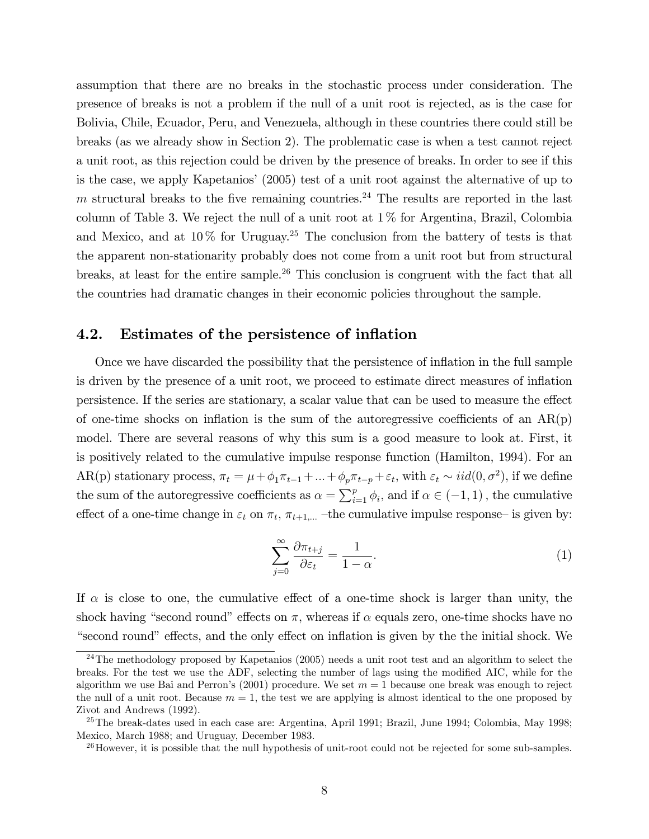assumption that there are no breaks in the stochastic process under consideration. The presence of breaks is not a problem if the null of a unit root is rejected, as is the case for Bolivia, Chile, Ecuador, Peru, and Venezuela, although in these countries there could still be breaks (as we already show in Section 2). The problematic case is when a test cannot reject a unit root, as this rejection could be driven by the presence of breaks. In order to see if this is the case, we apply Kapetanios' (2005) test of a unit root against the alternative of up to m structural breaks to the five remaining countries.<sup>24</sup> The results are reported in the last column of Table 3. We reject the null of a unit root at  $1\%$  for Argentina, Brazil, Colombia and Mexico, and at  $10\%$  for Uruguay.<sup>25</sup> The conclusion from the battery of tests is that the apparent non-stationarity probably does not come from a unit root but from structural breaks, at least for the entire sample.<sup>26</sup> This conclusion is congruent with the fact that all the countries had dramatic changes in their economic policies throughout the sample.

### 4.2. Estimates of the persistence of inflation

Once we have discarded the possibility that the persistence of inflation in the full sample is driven by the presence of a unit root, we proceed to estimate direct measures of ináation persistence. If the series are stationary, a scalar value that can be used to measure the effect of one-time shocks on inflation is the sum of the autoregressive coefficients of an  $AR(p)$ model. There are several reasons of why this sum is a good measure to look at. First, it is positively related to the cumulative impulse response function (Hamilton, 1994). For an AR(p) stationary process,  $\pi_t = \mu + \phi_1 \pi_{t-1} + ... + \phi_p \pi_{t-p} + \varepsilon_t$ , with  $\varepsilon_t \sim \text{iid}(0, \sigma^2)$ , if we define the sum of the autoregressive coefficients as  $\alpha = \sum_{i=1}^{p} \phi_i$ , and if  $\alpha \in (-1, 1)$ , the cumulative effect of a one-time change in  $\varepsilon_t$  on  $\pi_t$ ,  $\pi_{t+1,\dots}$  -the cumulative impulse response- is given by:

$$
\sum_{j=0}^{\infty} \frac{\partial \pi_{t+j}}{\partial \varepsilon_t} = \frac{1}{1-\alpha}.
$$
\n(1)

If  $\alpha$  is close to one, the cumulative effect of a one-time shock is larger than unity, the shock having "second round" effects on  $\pi$ , whereas if  $\alpha$  equals zero, one-time shocks have no ìsecond roundîe§ects, and the only e§ect on ináation is given by the the initial shock. We

 $^{24}$ The methodology proposed by Kapetanios (2005) needs a unit root test and an algorithm to select the breaks. For the test we use the ADF, selecting the number of lags using the modified AIC, while for the algorithm we use Bai and Perron's  $(2001)$  procedure. We set  $m = 1$  because one break was enough to reject the null of a unit root. Because  $m = 1$ , the test we are applying is almost identical to the one proposed by Zivot and Andrews (1992).

<sup>25</sup>The break-dates used in each case are: Argentina, April 1991; Brazil, June 1994; Colombia, May 1998; Mexico, March 1988; and Uruguay, December 1983.

 $^{26}$ However, it is possible that the null hypothesis of unit-root could not be rejected for some sub-samples.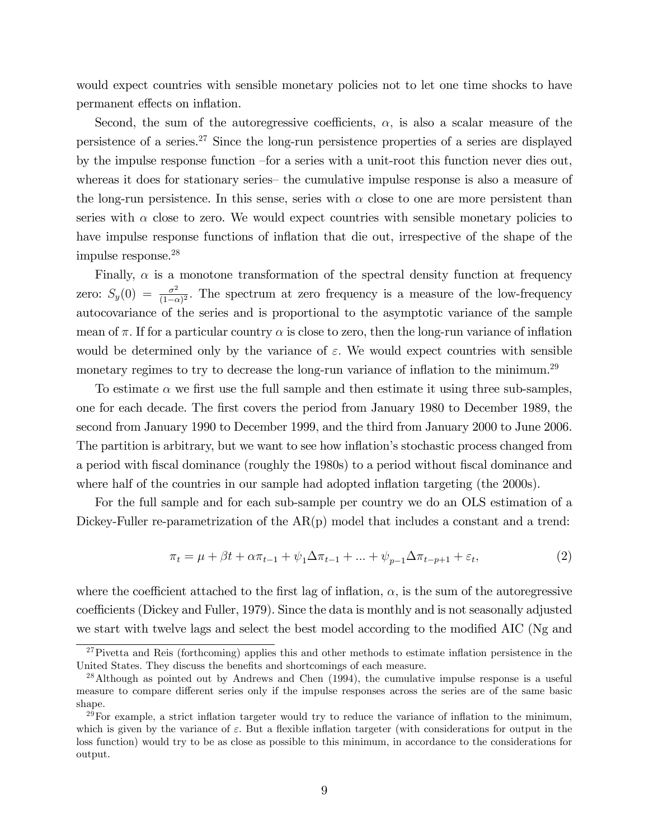would expect countries with sensible monetary policies not to let one time shocks to have permanent effects on inflation.

Second, the sum of the autoregressive coefficients,  $\alpha$ , is also a scalar measure of the persistence of a series.<sup>27</sup> Since the long-run persistence properties of a series are displayed by the impulse response function – for a series with a unit-root this function never dies out, whereas it does for stationary series the cumulative impulse response is also a measure of the long-run persistence. In this sense, series with  $\alpha$  close to one are more persistent than series with  $\alpha$  close to zero. We would expect countries with sensible monetary policies to have impulse response functions of inflation that die out, irrespective of the shape of the impulse response.<sup>28</sup>

Finally,  $\alpha$  is a monotone transformation of the spectral density function at frequency zero:  $S_y(0) = \frac{\sigma^2}{(1-\sigma^2)}$  $\frac{\sigma^2}{(1-\alpha)^2}$ . The spectrum at zero frequency is a measure of the low-frequency autocovariance of the series and is proportional to the asymptotic variance of the sample mean of  $\pi$ . If for a particular country  $\alpha$  is close to zero, then the long-run variance of inflation would be determined only by the variance of  $\varepsilon$ . We would expect countries with sensible monetary regimes to try to decrease the long-run variance of inflation to the minimum.<sup>29</sup>

To estimate  $\alpha$  we first use the full sample and then estimate it using three sub-samples, one for each decade. The first covers the period from January 1980 to December 1989, the second from January 1990 to December 1999, and the third from January 2000 to June 2006. The partition is arbitrary, but we want to see how inflation's stochastic process changed from a period with fiscal dominance (roughly the 1980s) to a period without fiscal dominance and where half of the countries in our sample had adopted inflation targeting (the 2000s).

For the full sample and for each sub-sample per country we do an OLS estimation of a Dickey-Fuller re-parametrization of the  $AR(p)$  model that includes a constant and a trend:

$$
\pi_t = \mu + \beta t + \alpha \pi_{t-1} + \psi_1 \Delta \pi_{t-1} + \dots + \psi_{p-1} \Delta \pi_{t-p+1} + \varepsilon_t,
$$
\n(2)

where the coefficient attached to the first lag of inflation,  $\alpha$ , is the sum of the autoregressive coefficients (Dickey and Fuller, 1979). Since the data is monthly and is not seasonally adjusted we start with twelve lags and select the best model according to the modified AIC (Ng and

 $27$ Pivetta and Reis (forthcoming) applies this and other methods to estimate inflation persistence in the United States. They discuss the benefits and shortcomings of each measure.

<sup>&</sup>lt;sup>28</sup>Although as pointed out by Andrews and Chen (1994), the cumulative impulse response is a useful measure to compare different series only if the impulse responses across the series are of the same basic shape.

 $29$ For example, a strict inflation targeter would try to reduce the variance of inflation to the minimum, which is given by the variance of  $\varepsilon$ . But a flexible inflation targeter (with considerations for output in the loss function) would try to be as close as possible to this minimum, in accordance to the considerations for output.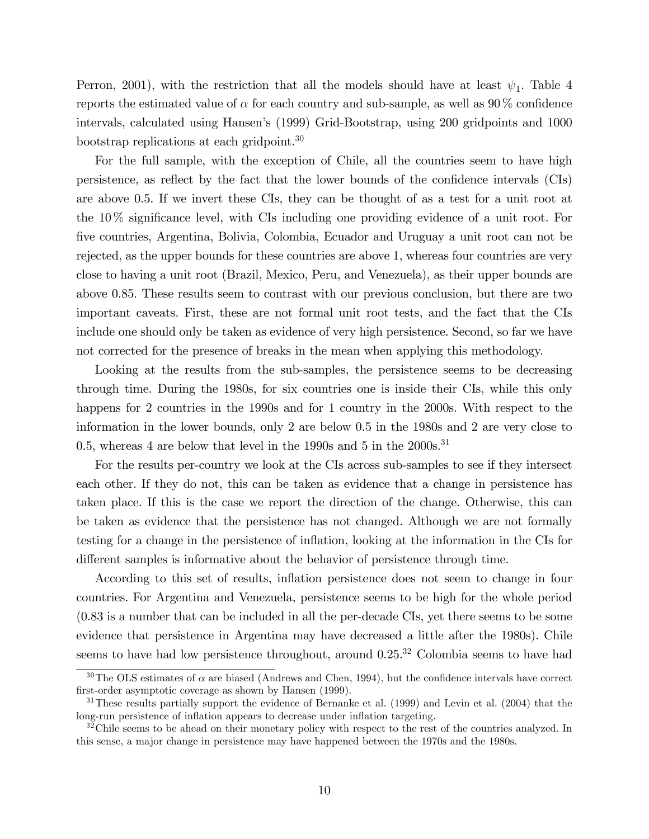Perron, 2001), with the restriction that all the models should have at least  $\psi_1$ . Table 4 reports the estimated value of  $\alpha$  for each country and sub-sample, as well as 90 % confidence intervals, calculated using Hansen's (1999) Grid-Bootstrap, using 200 gridpoints and 1000 bootstrap replications at each gridpoint.<sup>30</sup>

For the full sample, with the exception of Chile, all the countries seem to have high persistence, as reflect by the fact that the lower bounds of the confidence intervals (CIs) are above 0.5. If we invert these CIs, they can be thought of as a test for a unit root at the  $10\%$  significance level, with CIs including one providing evidence of a unit root. For Öve countries, Argentina, Bolivia, Colombia, Ecuador and Uruguay a unit root can not be rejected, as the upper bounds for these countries are above 1, whereas four countries are very close to having a unit root (Brazil, Mexico, Peru, and Venezuela), as their upper bounds are above 0.85. These results seem to contrast with our previous conclusion, but there are two important caveats. First, these are not formal unit root tests, and the fact that the CIs include one should only be taken as evidence of very high persistence. Second, so far we have not corrected for the presence of breaks in the mean when applying this methodology.

Looking at the results from the sub-samples, the persistence seems to be decreasing through time. During the 1980s, for six countries one is inside their CIs, while this only happens for 2 countries in the 1990s and for 1 country in the 2000s. With respect to the information in the lower bounds, only 2 are below 0.5 in the 1980s and 2 are very close to 0.5, whereas 4 are below that level in the 1990s and 5 in the  $2000s$ .<sup>31</sup>

For the results per-country we look at the CIs across sub-samples to see if they intersect each other. If they do not, this can be taken as evidence that a change in persistence has taken place. If this is the case we report the direction of the change. Otherwise, this can be taken as evidence that the persistence has not changed. Although we are not formally testing for a change in the persistence of inflation, looking at the information in the CIs for different samples is informative about the behavior of persistence through time.

According to this set of results, inflation persistence does not seem to change in four countries. For Argentina and Venezuela, persistence seems to be high for the whole period (0.83 is a number that can be included in all the per-decade CIs, yet there seems to be some evidence that persistence in Argentina may have decreased a little after the 1980s). Chile seems to have had low persistence throughout, around  $0.25^{32}$  Colombia seems to have had

<sup>&</sup>lt;sup>30</sup>The OLS estimates of  $\alpha$  are biased (Andrews and Chen, 1994), but the confidence intervals have correct first-order asymptotic coverage as shown by Hansen (1999).

<sup>&</sup>lt;sup>31</sup>These results partially support the evidence of Bernanke et al. (1999) and Levin et al. (2004) that the long-run persistence of inflation appears to decrease under inflation targeting.

<sup>&</sup>lt;sup>32</sup>Chile seems to be ahead on their monetary policy with respect to the rest of the countries analyzed. In this sense, a major change in persistence may have happened between the 1970s and the 1980s.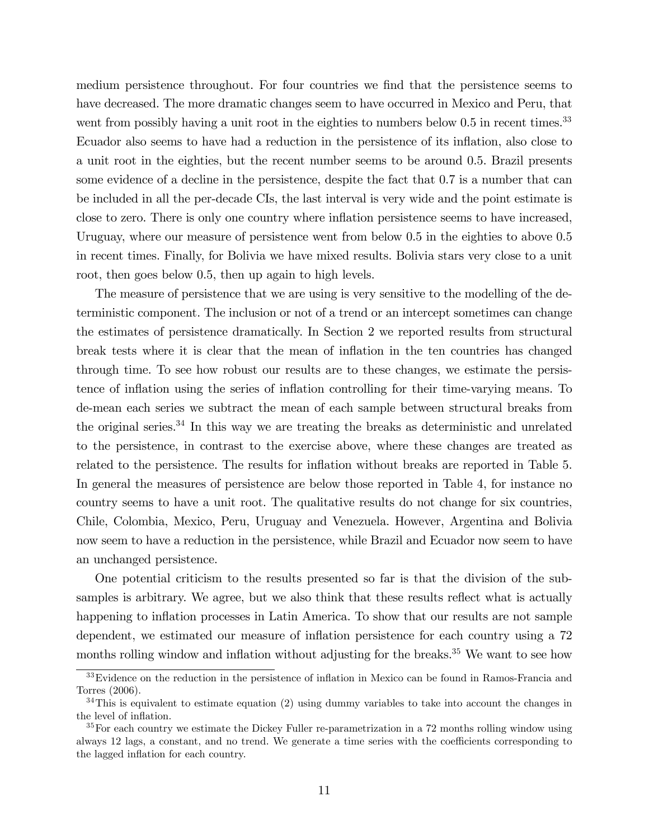medium persistence throughout. For four countries we find that the persistence seems to have decreased. The more dramatic changes seem to have occurred in Mexico and Peru, that went from possibly having a unit root in the eighties to numbers below  $0.5$  in recent times.<sup>33</sup> Ecuador also seems to have had a reduction in the persistence of its inflation, also close to a unit root in the eighties, but the recent number seems to be around 0.5. Brazil presents some evidence of a decline in the persistence, despite the fact that 0.7 is a number that can be included in all the per-decade CIs, the last interval is very wide and the point estimate is close to zero. There is only one country where inflation persistence seems to have increased, Uruguay, where our measure of persistence went from below 0.5 in the eighties to above 0.5 in recent times. Finally, for Bolivia we have mixed results. Bolivia stars very close to a unit root, then goes below 0.5, then up again to high levels.

The measure of persistence that we are using is very sensitive to the modelling of the deterministic component. The inclusion or not of a trend or an intercept sometimes can change the estimates of persistence dramatically. In Section 2 we reported results from structural break tests where it is clear that the mean of ináation in the ten countries has changed through time. To see how robust our results are to these changes, we estimate the persistence of inflation using the series of inflation controlling for their time-varying means. To de-mean each series we subtract the mean of each sample between structural breaks from the original series.<sup>34</sup> In this way we are treating the breaks as deterministic and unrelated to the persistence, in contrast to the exercise above, where these changes are treated as related to the persistence. The results for inflation without breaks are reported in Table 5. In general the measures of persistence are below those reported in Table 4, for instance no country seems to have a unit root. The qualitative results do not change for six countries, Chile, Colombia, Mexico, Peru, Uruguay and Venezuela. However, Argentina and Bolivia now seem to have a reduction in the persistence, while Brazil and Ecuador now seem to have an unchanged persistence.

One potential criticism to the results presented so far is that the division of the subsamples is arbitrary. We agree, but we also think that these results reflect what is actually happening to inflation processes in Latin America. To show that our results are not sample dependent, we estimated our measure of ináation persistence for each country using a 72 months rolling window and inflation without adjusting for the breaks.<sup>35</sup> We want to see how

<sup>&</sup>lt;sup>33</sup>Evidence on the reduction in the persistence of inflation in Mexico can be found in Ramos-Francia and Torres (2006).

 $34$ This is equivalent to estimate equation (2) using dummy variables to take into account the changes in the level of inflation.

 $35$  For each country we estimate the Dickey Fuller re-parametrization in a 72 months rolling window using always 12 lags, a constant, and no trend. We generate a time series with the coefficients corresponding to the lagged inflation for each country.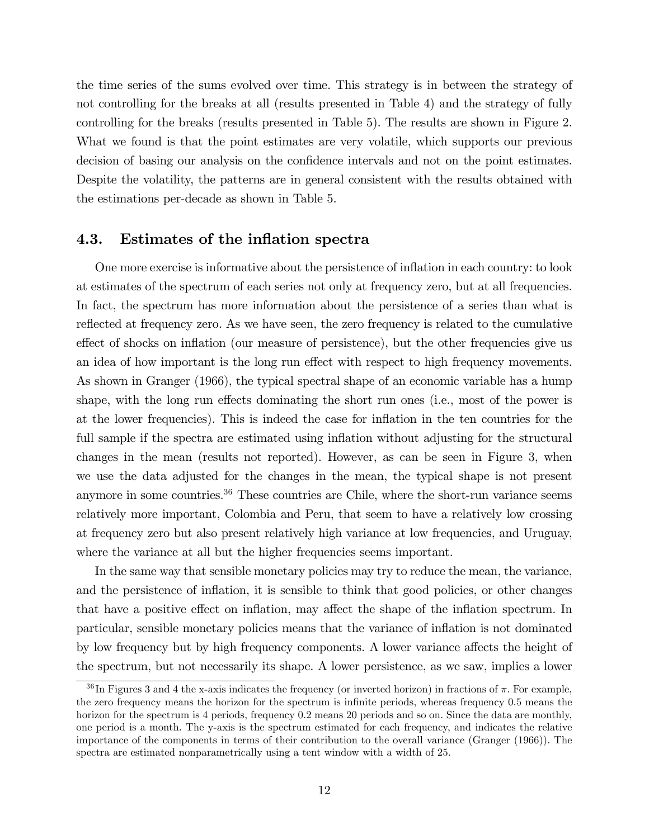the time series of the sums evolved over time. This strategy is in between the strategy of not controlling for the breaks at all (results presented in Table 4) and the strategy of fully controlling for the breaks (results presented in Table 5). The results are shown in Figure 2. What we found is that the point estimates are very volatile, which supports our previous decision of basing our analysis on the confidence intervals and not on the point estimates. Despite the volatility, the patterns are in general consistent with the results obtained with the estimations per-decade as shown in Table 5.

### 4.3. Estimates of the inflation spectra

One more exercise is informative about the persistence of inflation in each country: to look at estimates of the spectrum of each series not only at frequency zero, but at all frequencies. In fact, the spectrum has more information about the persistence of a series than what is reflected at frequency zero. As we have seen, the zero frequency is related to the cumulative effect of shocks on inflation (our measure of persistence), but the other frequencies give us an idea of how important is the long run effect with respect to high frequency movements. As shown in Granger (1966), the typical spectral shape of an economic variable has a hump shape, with the long run effects dominating the short run ones (i.e., most of the power is at the lower frequencies). This is indeed the case for ináation in the ten countries for the full sample if the spectra are estimated using inflation without adjusting for the structural changes in the mean (results not reported). However, as can be seen in Figure 3, when we use the data adjusted for the changes in the mean, the typical shape is not present anymore in some countries.<sup>36</sup> These countries are Chile, where the short-run variance seems relatively more important, Colombia and Peru, that seem to have a relatively low crossing at frequency zero but also present relatively high variance at low frequencies, and Uruguay, where the variance at all but the higher frequencies seems important.

In the same way that sensible monetary policies may try to reduce the mean, the variance, and the persistence of inflation, it is sensible to think that good policies, or other changes that have a positive effect on inflation, may affect the shape of the inflation spectrum. In particular, sensible monetary policies means that the variance of ináation is not dominated by low frequency but by high frequency components. A lower variance affects the height of the spectrum, but not necessarily its shape. A lower persistence, as we saw, implies a lower

 $36$  In Figures 3 and 4 the x-axis indicates the frequency (or inverted horizon) in fractions of  $\pi$ . For example, the zero frequency means the horizon for the spectrum is infinite periods, whereas frequency 0.5 means the horizon for the spectrum is 4 periods, frequency 0.2 means 20 periods and so on. Since the data are monthly, one period is a month. The y-axis is the spectrum estimated for each frequency, and indicates the relative importance of the components in terms of their contribution to the overall variance (Granger (1966)). The spectra are estimated nonparametrically using a tent window with a width of 25.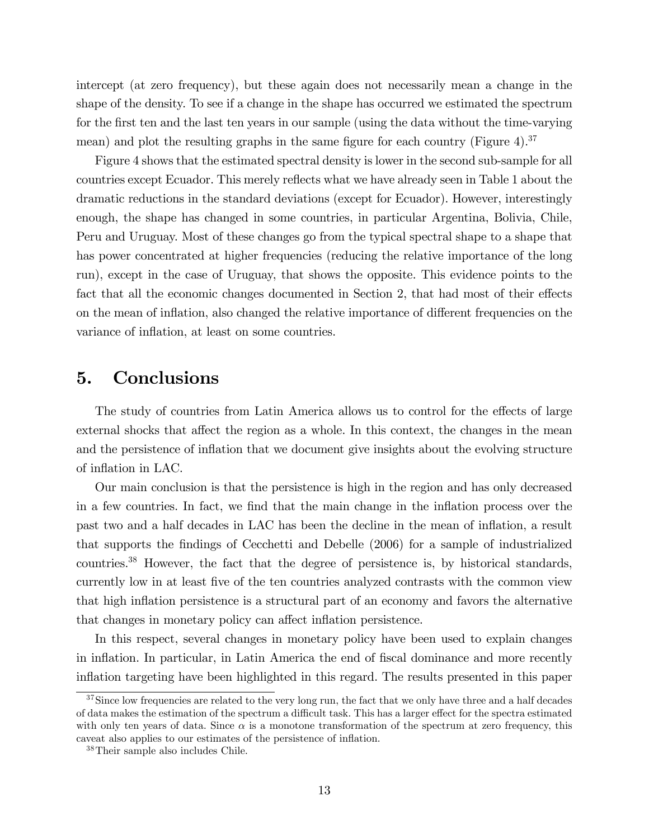intercept (at zero frequency), but these again does not necessarily mean a change in the shape of the density. To see if a change in the shape has occurred we estimated the spectrum for the first ten and the last ten years in our sample (using the data without the time-varying mean) and plot the resulting graphs in the same figure for each country (Figure 4).<sup>37</sup>

Figure 4 shows that the estimated spectral density is lower in the second sub-sample for all countries except Ecuador. This merely reflects what we have already seen in Table 1 about the dramatic reductions in the standard deviations (except for Ecuador). However, interestingly enough, the shape has changed in some countries, in particular Argentina, Bolivia, Chile, Peru and Uruguay. Most of these changes go from the typical spectral shape to a shape that has power concentrated at higher frequencies (reducing the relative importance of the long run), except in the case of Uruguay, that shows the opposite. This evidence points to the fact that all the economic changes documented in Section 2, that had most of their effects on the mean of inflation, also changed the relative importance of different frequencies on the variance of inflation, at least on some countries.

### 5. Conclusions

The study of countries from Latin America allows us to control for the effects of large external shocks that affect the region as a whole. In this context, the changes in the mean and the persistence of inflation that we document give insights about the evolving structure of inflation in LAC.

Our main conclusion is that the persistence is high in the region and has only decreased in a few countries. In fact, we find that the main change in the inflation process over the past two and a half decades in LAC has been the decline in the mean of inflation, a result that supports the Öndings of Cecchetti and Debelle (2006) for a sample of industrialized countries.<sup>38</sup> However, the fact that the degree of persistence is, by historical standards, currently low in at least five of the ten countries analyzed contrasts with the common view that high inflation persistence is a structural part of an economy and favors the alternative that changes in monetary policy can affect inflation persistence.

In this respect, several changes in monetary policy have been used to explain changes in inflation. In particular, in Latin America the end of fiscal dominance and more recently ináation targeting have been highlighted in this regard. The results presented in this paper

<sup>&</sup>lt;sup>37</sup>Since low frequencies are related to the very long run, the fact that we only have three and a half decades of data makes the estimation of the spectrum a difficult task. This has a larger effect for the spectra estimated with only ten years of data. Since  $\alpha$  is a monotone transformation of the spectrum at zero frequency, this caveat also applies to our estimates of the persistence of inflation.

<sup>38</sup>Their sample also includes Chile.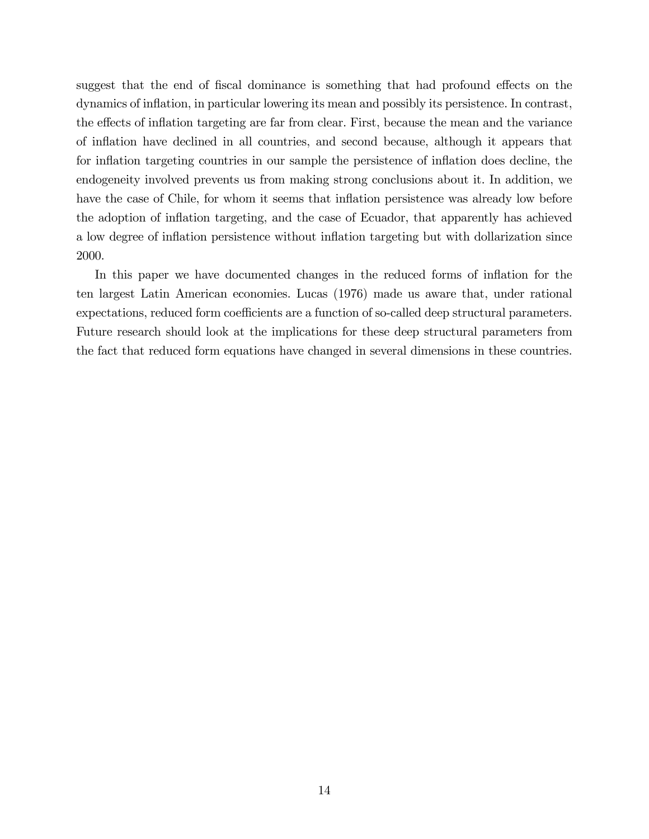suggest that the end of fiscal dominance is something that had profound effects on the dynamics of inflation, in particular lowering its mean and possibly its persistence. In contrast, the effects of inflation targeting are far from clear. First, because the mean and the variance of ináation have declined in all countries, and second because, although it appears that for inflation targeting countries in our sample the persistence of inflation does decline, the endogeneity involved prevents us from making strong conclusions about it. In addition, we have the case of Chile, for whom it seems that inflation persistence was already low before the adoption of inflation targeting, and the case of Ecuador, that apparently has achieved a low degree of inflation persistence without inflation targeting but with dollarization since 2000.

In this paper we have documented changes in the reduced forms of inflation for the ten largest Latin American economies. Lucas (1976) made us aware that, under rational expectations, reduced form coefficients are a function of so-called deep structural parameters. Future research should look at the implications for these deep structural parameters from the fact that reduced form equations have changed in several dimensions in these countries.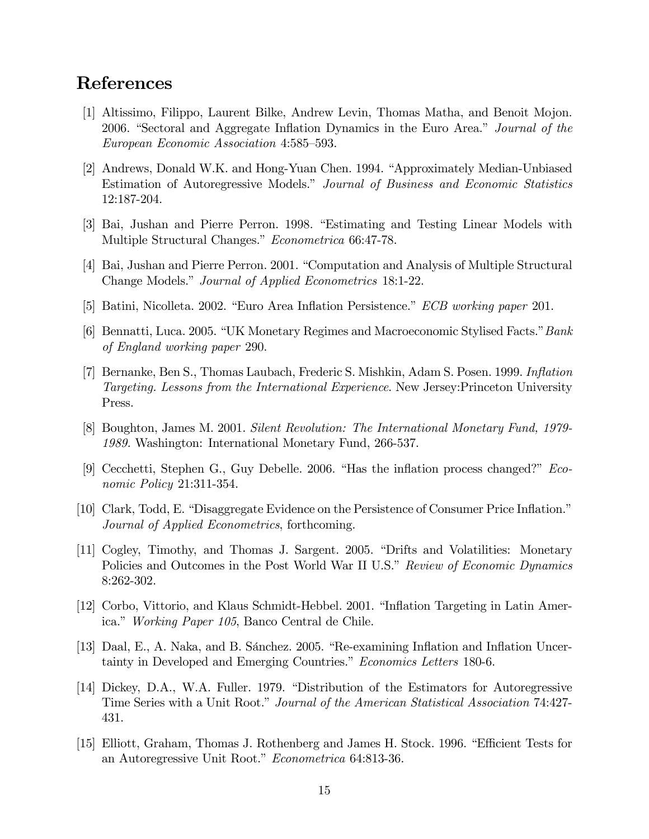## References

- [1] Altissimo, Filippo, Laurent Bilke, Andrew Levin, Thomas Matha, and Benoit Mojon. 2006. "Sectoral and Aggregate Inflation Dynamics in the Euro Area." Journal of the European Economic Association 4:585-593.
- [2] Andrews, Donald W.K. and Hong-Yuan Chen. 1994. "Approximately Median-Unbiased Estimation of Autoregressive Models." Journal of Business and Economic Statistics 12:187-204.
- [3] Bai, Jushan and Pierre Perron. 1998. "Estimating and Testing Linear Models with Multiple Structural Changes." Econometrica 66:47-78.
- [4] Bai, Jushan and Pierre Perron. 2001. "Computation and Analysis of Multiple Structural Change Models." Journal of Applied Econometrics 18:1-22.
- [5] Batini, Nicolleta. 2002. "Euro Area Inflation Persistence." *ECB working paper* 201.
- [6] Bennatti, Luca. 2005. "UK Monetary Regimes and Macroeconomic Stylised Facts." Bank of England working paper 290.
- [7] Bernanke, Ben S., Thomas Laubach, Frederic S. Mishkin, Adam S. Posen. 1999. Inflation Targeting. Lessons from the International Experience. New Jersey:Princeton University Press.
- [8] Boughton, James M. 2001. Silent Revolution: The International Monetary Fund, 1979- 1989. Washington: International Monetary Fund, 266-537.
- [9] Cecchetti, Stephen G., Guy Debelle. 2006. "Has the inflation process changed?"  $Eco$ nomic Policy 21:311-354.
- [10] Clark, Todd, E. "Disaggregate Evidence on the Persistence of Consumer Price Inflation." Journal of Applied Econometrics, forthcoming.
- [11] Cogley, Timothy, and Thomas J. Sargent. 2005. "Drifts and Volatilities: Monetary Policies and Outcomes in the Post World War II U.S." Review of Economic Dynamics 8:262-302.
- [12] Corbo, Vittorio, and Klaus Schmidt-Hebbel. 2001. "Inflation Targeting in Latin America." Working Paper 105, Banco Central de Chile.
- [13] Daal, E., A. Naka, and B. Sánchez. 2005. "Re-examining Inflation and Inflation Uncertainty in Developed and Emerging Countries." *Economics Letters* 180-6.
- [14] Dickey, D.A., W.A. Fuller. 1979. "Distribution of the Estimators for Autoregressive Time Series with a Unit Root." Journal of the American Statistical Association 74:427-431.
- [15] Elliott, Graham, Thomas J. Rothenberg and James H. Stock. 1996. "Efficient Tests for an Autoregressive Unit Root." Econometrica 64:813-36.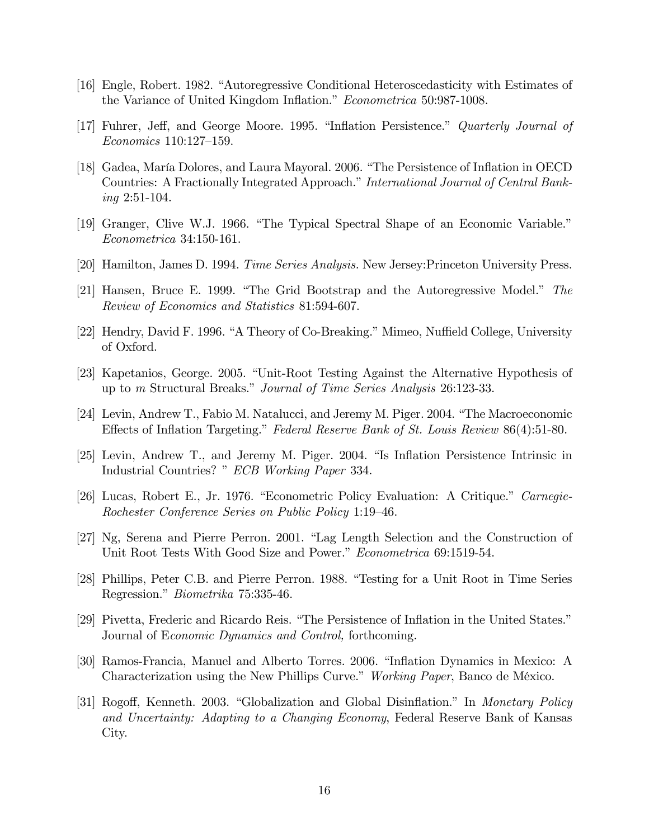- [16] Engle, Robert. 1982. "Autoregressive Conditional Heteroscedasticity with Estimates of the Variance of United Kingdom Inflation." Econometrica 50:987-1008.
- [17] Fuhrer, Jeff, and George Moore. 1995. "Inflation Persistence." *Quarterly Journal of*  $Economics 110:127-159.$
- [18] Gadea, María Dolores, and Laura Mayoral. 2006. "The Persistence of Inflation in OECD Countries: A Fractionally Integrated Approach." International Journal of Central Banking 2:51-104.
- [19] Granger, Clive W.J. 1966. "The Typical Spectral Shape of an Economic Variable." Econometrica 34:150-161.
- [20] Hamilton, James D. 1994. Time Series Analysis. New Jersey:Princeton University Press.
- [21] Hansen, Bruce E. 1999. "The Grid Bootstrap and the Autoregressive Model." The Review of Economics and Statistics 81:594-607.
- [22] Hendry, David F. 1996. "A Theory of Co-Breaking." Mimeo, Nuffield College, University of Oxford.
- [23] Kapetanios, George. 2005. "Unit-Root Testing Against the Alternative Hypothesis of up to *m* Structural Breaks." *Journal of Time Series Analysis* 26:123-33.
- [24] Levin, Andrew T., Fabio M. Natalucci, and Jeremy M. Piger. 2004. "The Macroeconomic Effects of Inflation Targeting." Federal Reserve Bank of St. Louis Review 86(4):51-80.
- [25] Levin, Andrew T., and Jeremy M. Piger. 2004. "Is Inflation Persistence Intrinsic in Industrial Countries? " ECB Working Paper 334.
- [26] Lucas, Robert E., Jr. 1976. "Econometric Policy Evaluation: A Critique." Carnegie-Rochester Conference Series on Public Policy 1:19-46.
- [27] Ng, Serena and Pierre Perron. 2001. "Lag Length Selection and the Construction of Unit Root Tests With Good Size and Power." Econometrica 69:1519-54.
- [28] Phillips, Peter C.B. and Pierre Perron. 1988. "Testing for a Unit Root in Time Series Regression." *Biometrika* 75:335-46.
- [29] Pivetta, Frederic and Ricardo Reis. "The Persistence of Inflation in the United States." Journal of Economic Dynamics and Control, forthcoming.
- [30] Ramos-Francia, Manuel and Alberto Torres. 2006. "Inflation Dynamics in Mexico: A Characterization using the New Phillips Curve." Working Paper, Banco de México.
- [31] Rogoff, Kenneth. 2003. "Globalization and Global Disinflation." In Monetary Policy and Uncertainty: Adapting to a Changing Economy, Federal Reserve Bank of Kansas City.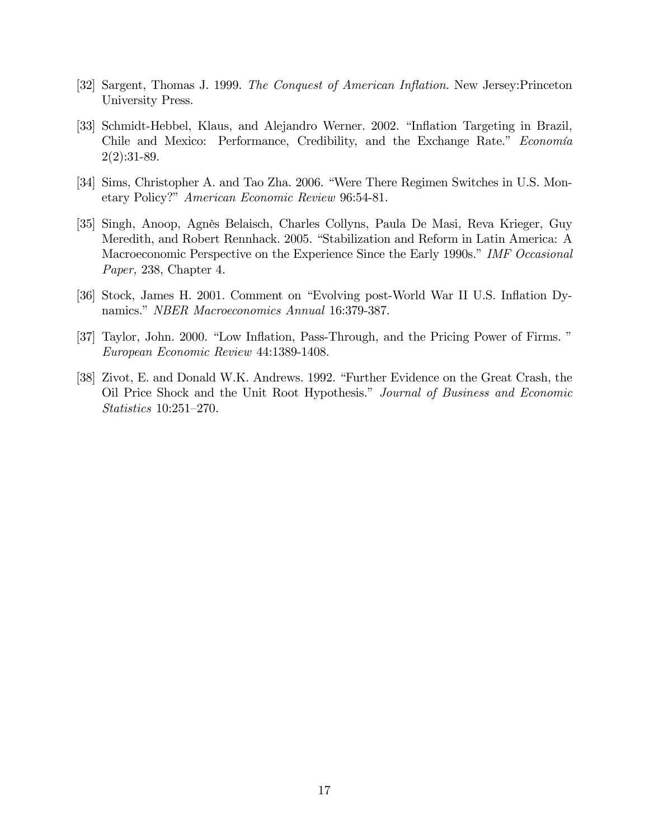- [32] Sargent, Thomas J. 1999. The Conquest of American Inflation. New Jersey: Princeton University Press.
- [33] Schmidt-Hebbel, Klaus, and Alejandro Werner. 2002. "Inflation Targeting in Brazil, Chile and Mexico: Performance, Credibility, and the Exchange Rate." Economía 2(2):31-89.
- [34] Sims, Christopher A. and Tao Zha. 2006. "Were There Regimen Switches in U.S. Monetary Policy?" American Economic Review 96:54-81.
- [35] Singh, Anoop, AgnËs Belaisch, Charles Collyns, Paula De Masi, Reva Krieger, Guy Meredith, and Robert Rennhack. 2005. "Stabilization and Reform in Latin America: A Macroeconomic Perspective on the Experience Since the Early 1990s." IMF Occasional Paper, 238, Chapter 4.
- [36] Stock, James H. 2001. Comment on "Evolving post-World War II U.S. Inflation Dynamics." NBER Macroeconomics Annual 16:379-387.
- [37] Taylor, John. 2000. "Low Inflation, Pass-Through, and the Pricing Power of Firms." European Economic Review 44:1389-1408.
- [38] Zivot, E. and Donald W.K. Andrews. 1992. "Further Evidence on the Great Crash, the Oil Price Shock and the Unit Root Hypothesis." Journal of Business and Economic  $Statistics\ 10:251-270.$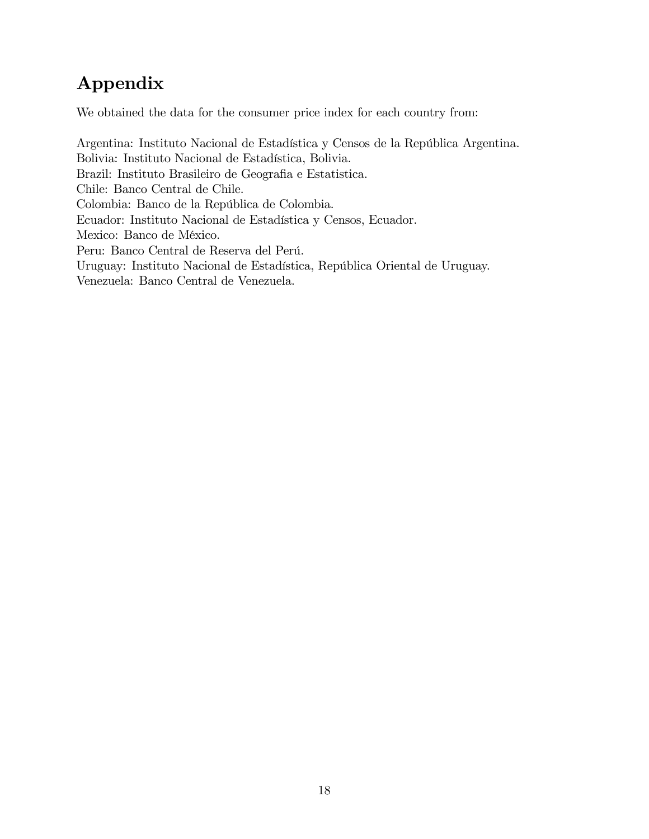# Appendix

We obtained the data for the consumer price index for each country from:

Argentina: Instituto Nacional de Estadística y Censos de la República Argentina. Bolivia: Instituto Nacional de Estadística, Bolivia. Brazil: Instituto Brasileiro de Geografia e Estatistica. Chile: Banco Central de Chile. Colombia: Banco de la República de Colombia. Ecuador: Instituto Nacional de Estadística y Censos, Ecuador. Mexico: Banco de México. Peru: Banco Central de Reserva del Perú. Uruguay: Instituto Nacional de Estadística, República Oriental de Uruguay. Venezuela: Banco Central de Venezuela.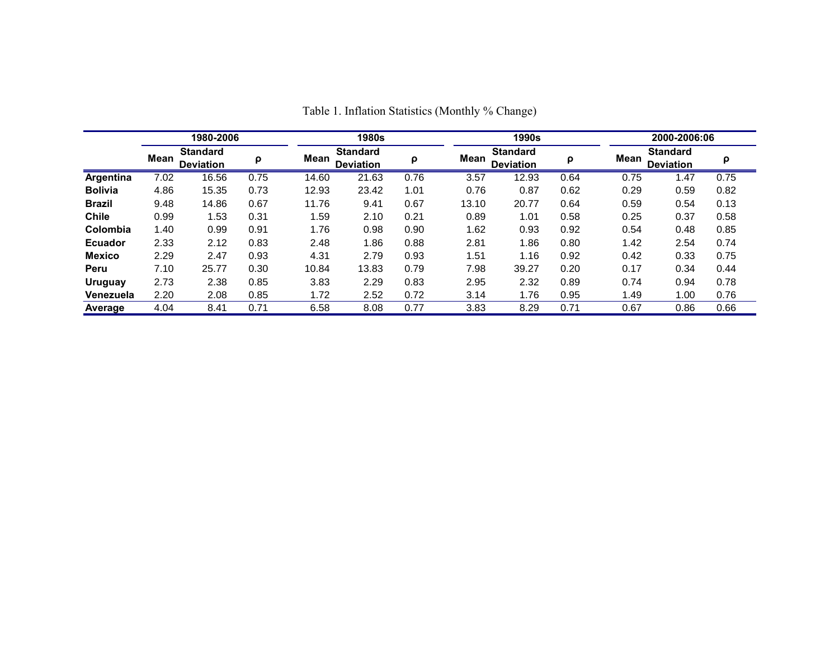|                | 1980-2006 |                                     |      |       | <b>1980s</b>                        |      |       | 1990s                               |      |      | 2000-2006:06                        |      |  |  |
|----------------|-----------|-------------------------------------|------|-------|-------------------------------------|------|-------|-------------------------------------|------|------|-------------------------------------|------|--|--|
|                | Mean      | <b>Standard</b><br><b>Deviation</b> | ρ    | Mean  | <b>Standard</b><br><b>Deviation</b> | ρ    | Mean  | <b>Standard</b><br><b>Deviation</b> | ρ    | Mean | <b>Standard</b><br><b>Deviation</b> | ρ    |  |  |
| Argentina      | 7.02      | 16.56                               | 0.75 | 14.60 | 21.63                               | 0.76 | 3.57  | 12.93                               | 0.64 | 0.75 | 1.47                                | 0.75 |  |  |
| <b>Bolivia</b> | 4.86      | 15.35                               | 0.73 | 12.93 | 23.42                               | 1.01 | 0.76  | 0.87                                | 0.62 | 0.29 | 0.59                                | 0.82 |  |  |
| <b>Brazil</b>  | 9.48      | 14.86                               | 0.67 | 11.76 | 9.41                                | 0.67 | 13.10 | 20.77                               | 0.64 | 0.59 | 0.54                                | 0.13 |  |  |
| <b>Chile</b>   | 0.99      | 1.53                                | 0.31 | 1.59  | 2.10                                | 0.21 | 0.89  | 1.01                                | 0.58 | 0.25 | 0.37                                | 0.58 |  |  |
| Colombia       | 1.40      | 0.99                                | 0.91 | 1.76  | 0.98                                | 0.90 | 1.62  | 0.93                                | 0.92 | 0.54 | 0.48                                | 0.85 |  |  |
| <b>Ecuador</b> | 2.33      | 2.12                                | 0.83 | 2.48  | 1.86                                | 0.88 | 2.81  | 1.86                                | 0.80 | 1.42 | 2.54                                | 0.74 |  |  |
| <b>Mexico</b>  | 2.29      | 2.47                                | 0.93 | 4.31  | 2.79                                | 0.93 | 1.51  | 1.16                                | 0.92 | 0.42 | 0.33                                | 0.75 |  |  |
| Peru           | 7.10      | 25.77                               | 0.30 | 10.84 | 13.83                               | 0.79 | 7.98  | 39.27                               | 0.20 | 0.17 | 0.34                                | 0.44 |  |  |
| <b>Uruguay</b> | 2.73      | 2.38                                | 0.85 | 3.83  | 2.29                                | 0.83 | 2.95  | 2.32                                | 0.89 | 0.74 | 0.94                                | 0.78 |  |  |
| Venezuela      | 2.20      | 2.08                                | 0.85 | 1.72  | 2.52                                | 0.72 | 3.14  | 1.76                                | 0.95 | 1.49 | 1.00                                | 0.76 |  |  |
| Average        | 4.04      | 8.41                                | 0.71 | 6.58  | 8.08                                | 0.77 | 3.83  | 8.29                                | 0.71 | 0.67 | 0.86                                | 0.66 |  |  |

Table 1. Inflation Statistics (Monthly % Change)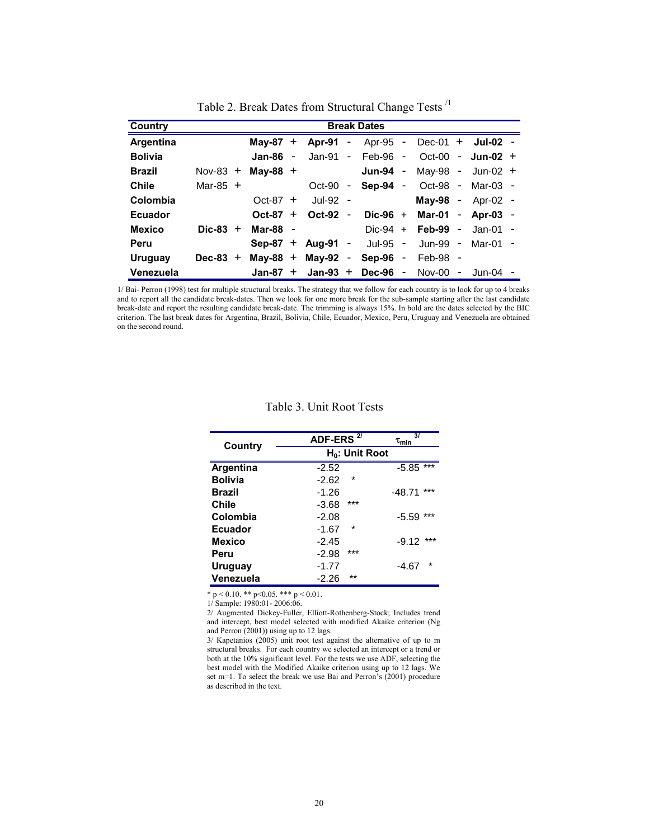| Country        |            | <b>Break Dates</b> |  |                     |                |                     |  |            |                     |  |
|----------------|------------|--------------------|--|---------------------|----------------|---------------------|--|------------|---------------------|--|
| Argentina      |            | May-87 $+$         |  | Apr-91 -            |                | Apr-95 -            |  | $Dec-01 +$ | $Jul-02 -$          |  |
| <b>Bolivia</b> |            | Jan-86 $-$         |  | Jan-91 -            |                | Feb-96 -            |  | $Oct-00 -$ | Jun-02 $+$          |  |
| <b>Brazil</b>  | Nov-83 $+$ | Mav-88 $+$         |  |                     |                | Jun-94 -            |  | May-98 -   | Jun-02 $+$          |  |
| Chile          | Mar-85 $+$ |                    |  | Oct-90              | $\blacksquare$ | Sep-94 -            |  |            | Oct-98 - Mar-03 -   |  |
| Colombia       |            | $Oct-87 +$         |  | $Jul-92 -$          |                |                     |  |            | $May-98 - Apr-02 -$ |  |
| <b>Ecuador</b> |            | Oct-87 $+$         |  | Oct-92              | $\blacksquare$ | $Dic-96 +$          |  |            | Mar-01 - Apr-03 -   |  |
| <b>Mexico</b>  | $Dic-83 +$ | Mar-88 -           |  |                     |                | $Dic-94 +$          |  | Feb-99 -   | Jan-01 -            |  |
| Peru           |            |                    |  | $Sep-87 + Aug-91 -$ |                | Jul-95 -            |  |            | Jun-99 - Mar-01 -   |  |
| <b>Uruguay</b> | Dec-83 $+$ |                    |  | $May-88 + May-92 -$ |                | Sep-96 -            |  | $Feb-98 -$ |                     |  |
| Venezuela      |            | Jan-87 $+$         |  |                     |                | $Jan-93 + Dec-96 -$ |  | Nov-00 $-$ | Jun-04              |  |

Table 2. Break Dates from Structural Change Tests /1

1/ Bai- Perron (1998) test for multiple structural breaks. The strategy that we follow for each country is to look for up to 4 breaks and to report all the candidate break-dates. Then we look for one more break for the sub-sample starting after the last candidate break-date and report the resulting candidate break-date. The trimming is always 15%. In bold are the dates selected by the BIC criterion. The last break dates for Argentina, Brazil, Bolivia, Chile, Ecuador, Mexico, Peru, Uruguay and Venezuela are obtained on the second round.

| Country          | ADF-ERS $27$       | 31<br>$\tau_{\rm min}$ |
|------------------|--------------------|------------------------|
|                  | $H_0$ : Unit Root  |                        |
| <b>Argentina</b> | $-2.52$            | $***$<br>$-5.85$       |
| <b>Bolivia</b>   | $\star$<br>$-2.62$ |                        |
| Brazil           | $-1.26$            | ***<br>-48.71          |
| Chile            | ***<br>$-3.68$     |                        |
| Colombia         | $-2.08$            | ***<br>-5.59           |
| Ecuador          | $\star$<br>-1.67   |                        |
| Mexico           | $-2.45$            | ***<br>$-9.12$         |
| Peru             | ***<br>$-2.98$     |                        |
| Uruguay          | $-1.77$            | $\star$<br>-4.67       |
| Venezuela        | $*$<br>-2.26       |                        |

#### Table 3. Unit Root Tests

\* p < 0.10. \*\* p < 0.05. \*\*\* p < 0.01.

1/ Sample: 1980:01- 2006:06.

2/ Augmented Dickey-Fuller, Elliott-Rothenberg-Stock; Includes trend and intercept, best model selected with modified Akaike criterion (Ng and Perron (2001)) using up to 12 lags.

3/ Kapetanios (2005) unit root test against the alternative of up to m structural breaks. For each country we selected an intercept or a trend or both at the 10% significant level. For the tests we use ADF, selecting the best model with the Modified Akaike criterion using up to 12 lags. We set m=1. To select the break we use Bai and Perron's (2001) procedure as described in the text.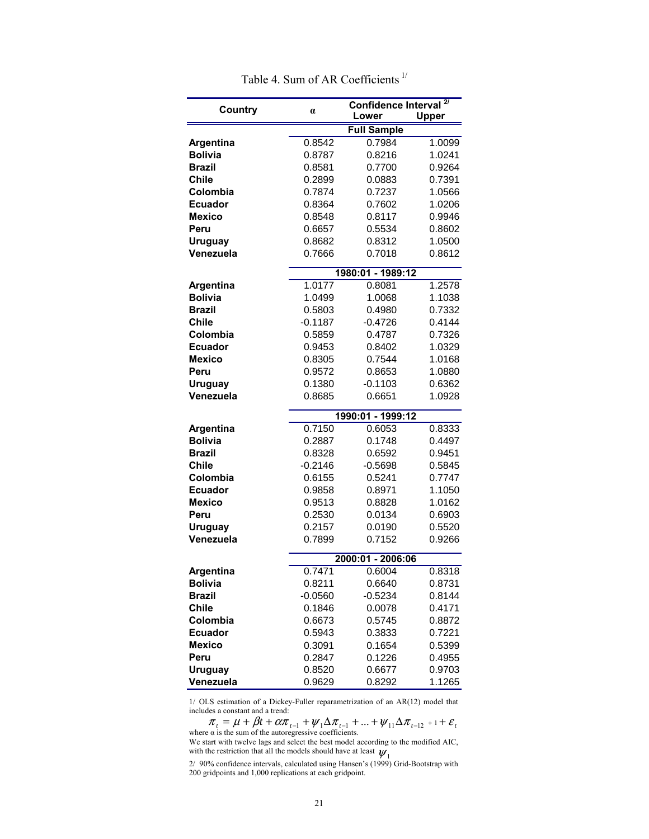| Country                     |                   | Confidence Interval <sup>2/</sup> |                  |  |  |  |  |  |  |
|-----------------------------|-------------------|-----------------------------------|------------------|--|--|--|--|--|--|
|                             | $\alpha$          | Lower                             | <b>Upper</b>     |  |  |  |  |  |  |
|                             |                   | <b>Full Sample</b>                |                  |  |  |  |  |  |  |
| <b>Argentina</b>            | 0.8542            | 0.7984                            | 1.0099           |  |  |  |  |  |  |
| <b>Bolivia</b>              | 0.8787            | 0.8216                            | 1.0241           |  |  |  |  |  |  |
| <b>Brazil</b>               | 0.8581            | 0.7700                            | 0.9264           |  |  |  |  |  |  |
| <b>Chile</b>                | 0.2899            | 0.0883                            | 0.7391           |  |  |  |  |  |  |
| Colombia                    | 0.7874            | 0.7237                            | 1.0566           |  |  |  |  |  |  |
| <b>Ecuador</b>              | 0.8364            | 0.7602                            | 1.0206           |  |  |  |  |  |  |
| <b>Mexico</b>               | 0.8548            | 0.8117                            | 0.9946           |  |  |  |  |  |  |
| Peru                        | 0.6657            | 0.5534                            | 0.8602           |  |  |  |  |  |  |
| <b>Uruguay</b>              | 0.8682            | 0.8312                            | 1.0500           |  |  |  |  |  |  |
| Venezuela                   | 0.7666            | 0.7018                            | 0.8612           |  |  |  |  |  |  |
|                             |                   | 1980:01 - 1989:12                 |                  |  |  |  |  |  |  |
| Argentina                   | 1.0177            | 0.8081                            | 1.2578           |  |  |  |  |  |  |
| <b>Bolivia</b>              | 1.0499            | 1.0068                            | 1.1038           |  |  |  |  |  |  |
| <b>Brazil</b>               | 0.5803            | 0.4980                            | 0.7332           |  |  |  |  |  |  |
| <b>Chile</b>                | $-0.1187$         | $-0.4726$                         | 0.4144           |  |  |  |  |  |  |
| Colombia                    | 0.5859            | 0.4787                            | 0.7326           |  |  |  |  |  |  |
| <b>Ecuador</b>              | 0.9453            | 0.8402                            | 1.0329           |  |  |  |  |  |  |
| <b>Mexico</b>               | 0.8305            | 0.7544                            | 1.0168           |  |  |  |  |  |  |
| Peru                        | 0.9572            | 0.8653                            | 1.0880           |  |  |  |  |  |  |
| <b>Uruguay</b>              | 0.1380            | $-0.1103$                         | 0.6362           |  |  |  |  |  |  |
| Venezuela                   | 0.8685            | 0.6651                            | 1.0928           |  |  |  |  |  |  |
|                             |                   |                                   |                  |  |  |  |  |  |  |
|                             |                   | 1990:01 - 1999:12                 |                  |  |  |  |  |  |  |
| Argentina                   | 0.7150            | 0.6053                            | 0.8333           |  |  |  |  |  |  |
| <b>Bolivia</b>              | 0.2887            | 0.1748                            | 0.4497           |  |  |  |  |  |  |
| <b>Brazil</b>               | 0.8328            | 0.6592                            | 0.9451           |  |  |  |  |  |  |
| <b>Chile</b>                | $-0.2146$         | $-0.5698$                         | 0.5845           |  |  |  |  |  |  |
| Colombia                    | 0.6155            | 0.5241                            | 0.7747           |  |  |  |  |  |  |
| <b>Ecuador</b>              | 0.9858            | 0.8971                            | 1.1050           |  |  |  |  |  |  |
| <b>Mexico</b><br>Peru       | 0.9513            | 0.8828                            | 1.0162<br>0.6903 |  |  |  |  |  |  |
|                             | 0.2530            | 0.0134                            |                  |  |  |  |  |  |  |
| <b>Uruguay</b><br>Venezuela | 0.2157<br>0.7899  | 0.0190<br>0.7152                  | 0.5520<br>0.9266 |  |  |  |  |  |  |
|                             |                   |                                   |                  |  |  |  |  |  |  |
|                             | 2000:01 - 2006:06 |                                   |                  |  |  |  |  |  |  |
| <b>Argentina</b>            | 0.7471            | 0.6004                            | 0.8318           |  |  |  |  |  |  |
| <b>Bolivia</b>              | 0.8211            | 0.6640                            | 0.8731           |  |  |  |  |  |  |
| <b>Brazil</b>               | $-0.0560$         | $-0.5234$                         | 0.8144           |  |  |  |  |  |  |
| Chile                       | 0.1846            | 0.0078                            | 0.4171           |  |  |  |  |  |  |
| Colombia                    | 0.6673            | 0.5745                            | 0.8872           |  |  |  |  |  |  |
| <b>Ecuador</b>              | 0.5943            | 0.3833                            | 0.7221           |  |  |  |  |  |  |
| <b>Mexico</b>               | 0.3091            | 0.1654                            | 0.5399           |  |  |  |  |  |  |
| Peru                        | 0.2847            | 0.1226                            | 0.4955           |  |  |  |  |  |  |
| <b>Uruguay</b>              | 0.8520            | 0.6677                            | 0.9703           |  |  |  |  |  |  |
| Venezuela                   | 0.9629            | 0.8292                            | 1.1265           |  |  |  |  |  |  |

Table 4. Sum of AR Coefficients<sup>1/</sup>

1/ OLS estimation of a Dickey-Fuller reparametrization of an AR(12) model that includes a constant and a trend:

 $\pi_t = \mu + \beta t + \alpha \pi_{t-1} + \psi_1 \Delta \pi_{t-1} + ... + \psi_{11} \Delta \pi_{t-12} + \cdots + \varepsilon_t$ where  $\alpha$  is the sum of the autoregressive coefficients.

 $\boldsymbol{\psi}_1$ We start with twelve lags and select the best model according to the modified AIC, with the restriction that all the models should have at least

2/ 90% confidence intervals, calculated using Hansen's (1999) Grid-Bootstrap with 200 gridpoints and 1,000 replications at each gridpoint.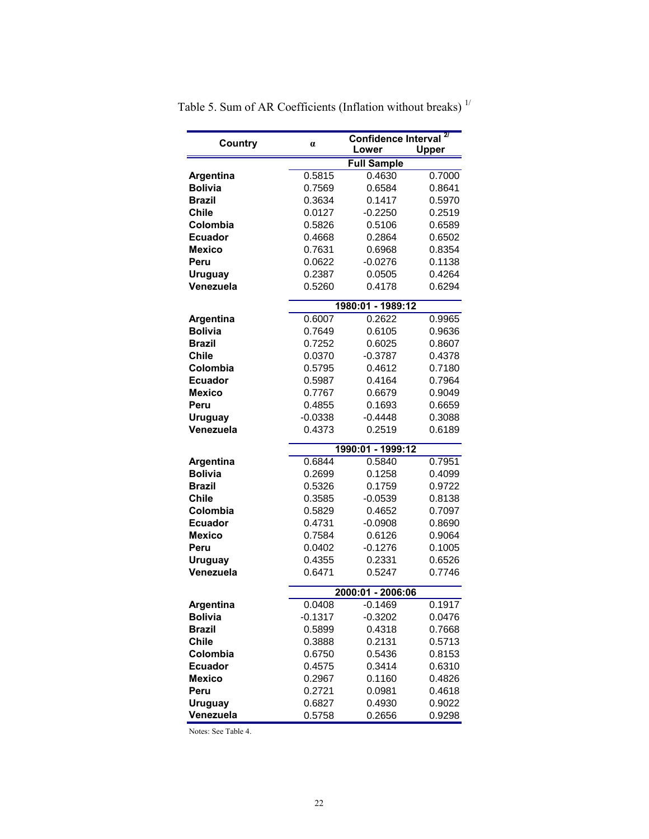| <b>Country</b>              | $\alpha$          | Confidence Interval <sup>2/</sup><br>Lower |        |  |  |  |  |  |
|-----------------------------|-------------------|--------------------------------------------|--------|--|--|--|--|--|
|                             |                   |                                            | Upper  |  |  |  |  |  |
|                             |                   | <b>Full Sample</b>                         |        |  |  |  |  |  |
| <b>Argentina</b>            | 0.5815            | 0.4630                                     | 0.7000 |  |  |  |  |  |
| <b>Bolivia</b>              | 0.7569            | 0.6584                                     | 0.8641 |  |  |  |  |  |
| Brazil                      | 0.3634            | 0.1417                                     | 0.5970 |  |  |  |  |  |
| Chile                       | 0.0127            | $-0.2250$                                  | 0.2519 |  |  |  |  |  |
| Colombia                    | 0.5826            | 0.5106                                     | 0.6589 |  |  |  |  |  |
| <b>Ecuador</b>              | 0.4668            | 0.2864                                     | 0.6502 |  |  |  |  |  |
| Mexico                      | 0.7631            | 0.6968                                     | 0.8354 |  |  |  |  |  |
| Peru                        | 0.0622            | $-0.0276$                                  | 0.1138 |  |  |  |  |  |
| <b>Uruguay</b>              | 0.2387            | 0.0505                                     | 0.4264 |  |  |  |  |  |
| Venezuela                   | 0.5260            | 0.4178                                     | 0.6294 |  |  |  |  |  |
|                             | 1980:01 - 1989:12 |                                            |        |  |  |  |  |  |
| Argentina                   | 0.6007            | 0.2622                                     | 0.9965 |  |  |  |  |  |
| <b>Bolivia</b>              | 0.7649            | 0.6105                                     | 0.9636 |  |  |  |  |  |
| Brazil                      | 0.7252            | 0.6025                                     | 0.8607 |  |  |  |  |  |
| <b>Chile</b>                | 0.0370            | $-0.3787$                                  | 0.4378 |  |  |  |  |  |
| Colombia                    | 0.5795            | 0.4612                                     | 0.7180 |  |  |  |  |  |
| <b>Ecuador</b>              | 0.5987            | 0.4164                                     | 0.7964 |  |  |  |  |  |
| Mexico                      | 0.7767            | 0.6679                                     | 0.9049 |  |  |  |  |  |
| Peru                        | 0.4855            | 0.1693                                     | 0.6659 |  |  |  |  |  |
| <b>Uruguay</b>              | $-0.0338$         | $-0.4448$                                  | 0.3088 |  |  |  |  |  |
| Venezuela                   | 0.4373            | 0.2519                                     | 0.6189 |  |  |  |  |  |
|                             |                   | 1990:01 - 1999:12                          |        |  |  |  |  |  |
| <b>Argentina</b>            | 0.6844            | 0.5840                                     | 0.7951 |  |  |  |  |  |
| <b>Bolivia</b>              | 0.2699            | 0.1258                                     | 0.4099 |  |  |  |  |  |
| Brazil                      | 0.5326            | 0.1759                                     | 0.9722 |  |  |  |  |  |
| Chile                       | 0.3585            | $-0.0539$                                  | 0.8138 |  |  |  |  |  |
| Colombia                    | 0.5829            | 0.4652                                     | 0.7097 |  |  |  |  |  |
| <b>Ecuador</b>              | 0.4731            | $-0.0908$                                  | 0.8690 |  |  |  |  |  |
| Mexico                      | 0.7584            | 0.6126                                     | 0.9064 |  |  |  |  |  |
| Peru                        | 0.0402            | $-0.1276$                                  | 0.1005 |  |  |  |  |  |
| <b>Uruguay</b>              | 0.4355            | 0.2331                                     | 0.6526 |  |  |  |  |  |
| Venezuela                   | 0.6471            | 0.5247                                     | 0.7746 |  |  |  |  |  |
|                             |                   |                                            |        |  |  |  |  |  |
| Argentina                   | 0.0408            | 2000:01 - 2006:06<br>$-0.1469$             | 0.1917 |  |  |  |  |  |
| <b>Bolivia</b>              | $-0.1317$         | $-0.3202$                                  | 0.0476 |  |  |  |  |  |
| <b>Brazil</b>               | 0.5899            | 0.4318                                     | 0.7668 |  |  |  |  |  |
| <b>Chile</b>                | 0.3888            | 0.2131                                     | 0.5713 |  |  |  |  |  |
| Colombia                    | 0.6750            | 0.5436                                     | 0.8153 |  |  |  |  |  |
| <b>Ecuador</b>              | 0.4575            | 0.3414                                     | 0.6310 |  |  |  |  |  |
| Mexico                      | 0.2967            | 0.1160                                     | 0.4826 |  |  |  |  |  |
| Peru                        | 0.2721            | 0.0981                                     | 0.4618 |  |  |  |  |  |
|                             | 0.6827            | 0.4930                                     | 0.9022 |  |  |  |  |  |
| <b>Uruguay</b><br>Venezuela | 0.5758            | 0.2656                                     | 0.9298 |  |  |  |  |  |
|                             |                   |                                            |        |  |  |  |  |  |

Table 5. Sum of AR Coefficients (Inflation without breaks)  $^{1/}$ 

Notes: See Table 4.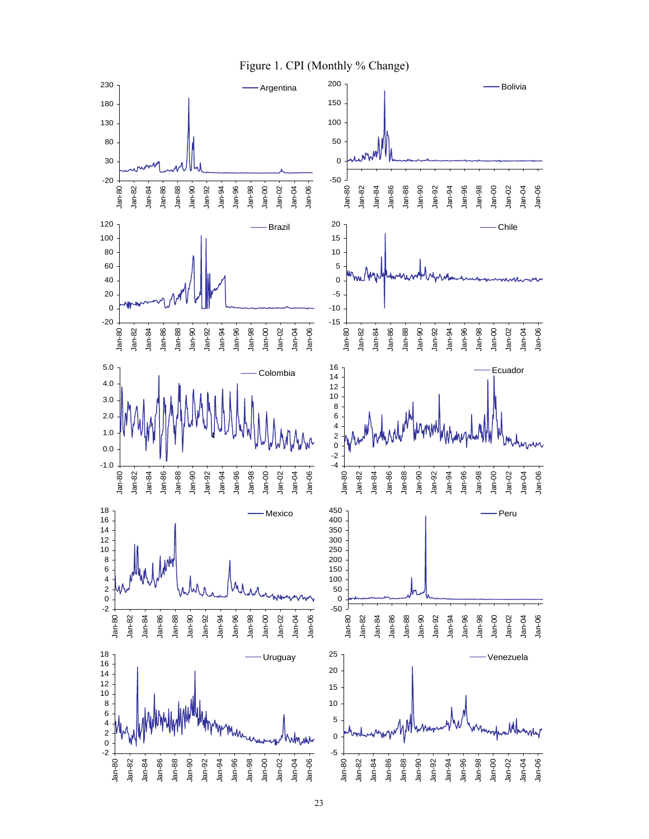

23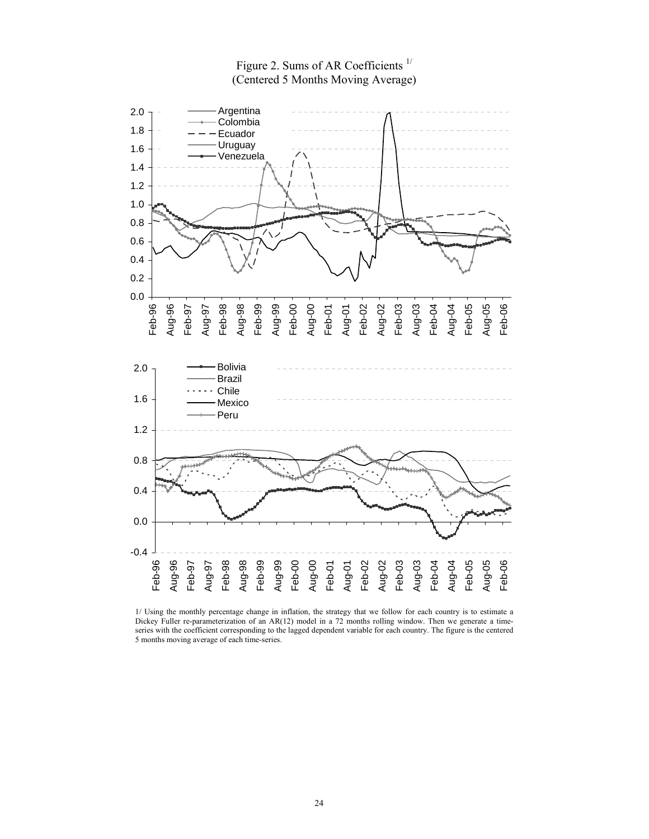

Figure 2. Sums of AR Coefficients<sup>1/</sup> (Centered 5 Months Moving Average)

1/ Using the monthly percentage change in inflation, the strategy that we follow for each country is to estimate a Dickey Fuller re-parameterization of an AR(12) model in a 72 months rolling window. Then we generate a timeseries with the coefficient corresponding to the lagged dependent variable for each country. The figure is the centered 5 months moving average of each time-series.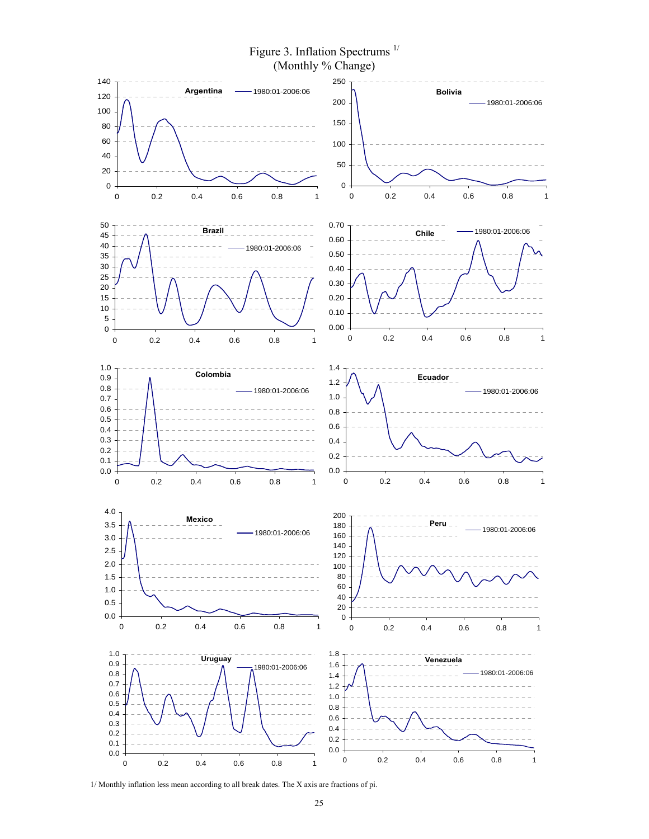

1/ Monthly inflation less mean according to all break dates. The X axis are fractions of pi.